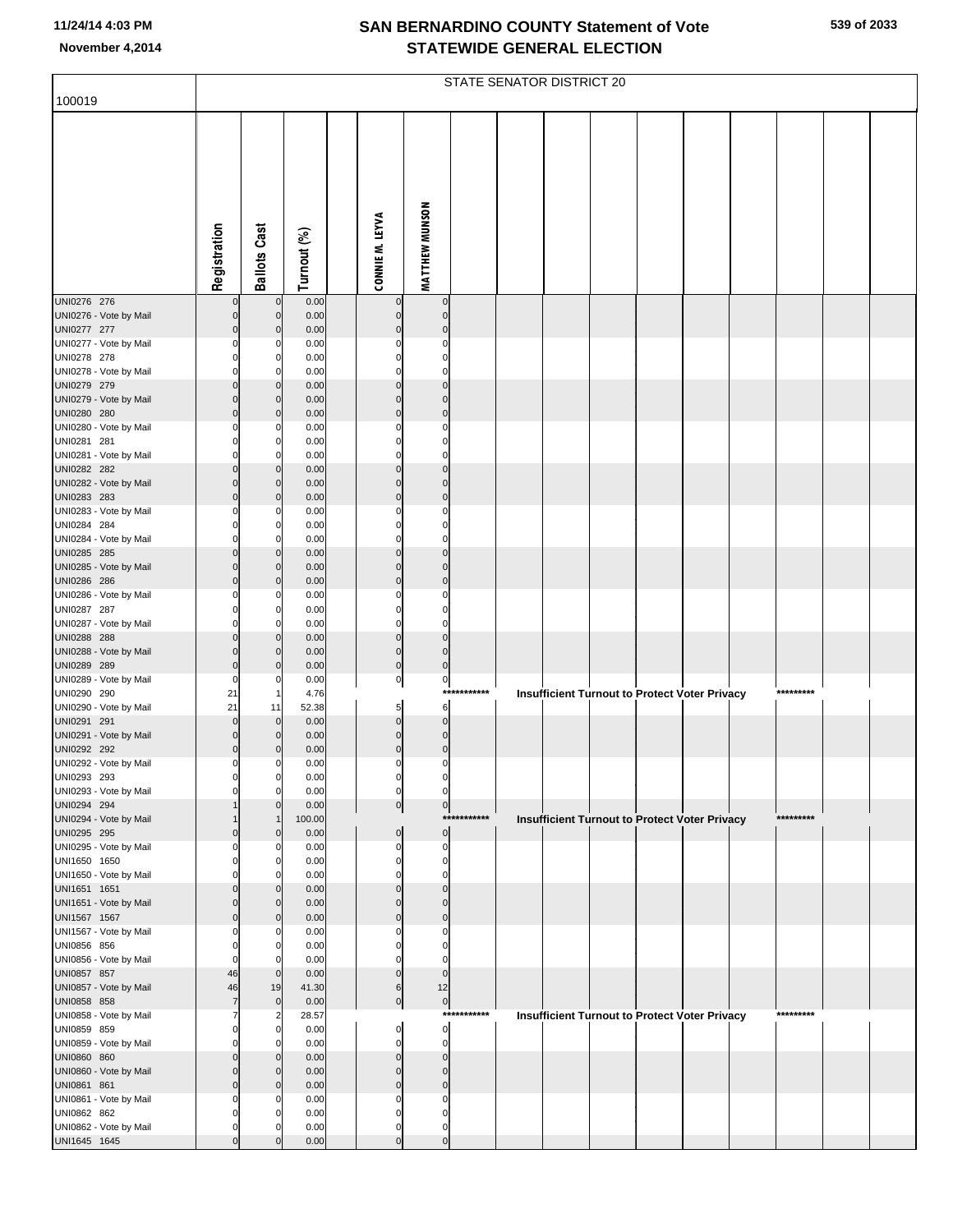|                                        |                      |                                  |               |                                  |                                  |             | STATE SENATOR DISTRICT 20 |  |                                                      |           |  |
|----------------------------------------|----------------------|----------------------------------|---------------|----------------------------------|----------------------------------|-------------|---------------------------|--|------------------------------------------------------|-----------|--|
| 100019                                 |                      |                                  |               |                                  |                                  |             |                           |  |                                                      |           |  |
|                                        |                      |                                  |               |                                  |                                  |             |                           |  |                                                      |           |  |
|                                        |                      |                                  |               |                                  |                                  |             |                           |  |                                                      |           |  |
|                                        |                      |                                  |               |                                  |                                  |             |                           |  |                                                      |           |  |
|                                        |                      |                                  |               |                                  |                                  |             |                           |  |                                                      |           |  |
|                                        |                      |                                  |               |                                  | MATTHEW MUNSON                   |             |                           |  |                                                      |           |  |
|                                        | Registration         | <b>Ballots Cast</b>              | Turnout (%)   | CONNIE M. LEYVA                  |                                  |             |                           |  |                                                      |           |  |
|                                        |                      |                                  |               |                                  |                                  |             |                           |  |                                                      |           |  |
|                                        |                      |                                  |               |                                  |                                  |             |                           |  |                                                      |           |  |
| UNI0276 276                            | $\Omega$             | $\mathbf 0$                      | 0.00          | $\mathbf 0$                      | $\mathbf 0$                      |             |                           |  |                                                      |           |  |
| UNI0276 - Vote by Mail<br>UNI0277 277  | 0<br>0               | $\mathbf 0$<br>$\mathbf 0$       | 0.00<br>0.00  | $\mathbf 0$<br>$\Omega$          | $\overline{0}$<br>$\mathbf 0$    |             |                           |  |                                                      |           |  |
| UNI0277 - Vote by Mail                 | 0                    | 0                                | 0.00          | $\Omega$                         | 0                                |             |                           |  |                                                      |           |  |
| UNI0278 278<br>UNI0278 - Vote by Mail  | 0                    | 0<br>0                           | 0.00<br>0.00  | $\Omega$                         | $\Omega$<br>$\overline{0}$       |             |                           |  |                                                      |           |  |
| UNI0279 279                            |                      | $\mathbf 0$                      | 0.00          | $\Omega$                         | $\Omega$                         |             |                           |  |                                                      |           |  |
| UNI0279 - Vote by Mail                 | $\Omega$             | $\mathbf 0$                      | 0.00          | $\Omega$                         | $\overline{0}$                   |             |                           |  |                                                      |           |  |
| UNI0280 280<br>UNI0280 - Vote by Mail  | $\Omega$<br>0        | $\mathbf 0$<br>0                 | 0.00<br>0.00  | $\mathbf 0$<br>$\Omega$          | $\mathbf 0$<br>0                 |             |                           |  |                                                      |           |  |
| UNI0281 281                            | $\Omega$             | 0                                | 0.00          | $\Omega$                         | 0                                |             |                           |  |                                                      |           |  |
| UNI0281 - Vote by Mail<br>UNI0282 282  | 0<br>$\Omega$        | 0<br>$\mathbf 0$                 | 0.00<br>0.00  | $\Omega$<br>$\Omega$             | $\overline{0}$<br>$\Omega$       |             |                           |  |                                                      |           |  |
| UNI0282 - Vote by Mail                 | $\Omega$             | $\mathbf 0$                      | 0.00          | $\Omega$                         | $\mathbf 0$                      |             |                           |  |                                                      |           |  |
| UNI0283 283                            | $\Omega$             | $\mathbf 0$                      | 0.00          | $\mathbf 0$                      | $\mathbf 0$                      |             |                           |  |                                                      |           |  |
| UNI0283 - Vote by Mail<br>UNI0284 284  | 0                    | 0<br>0                           | 0.00<br>0.00  | $\Omega$                         | 0<br>0                           |             |                           |  |                                                      |           |  |
| UNI0284 - Vote by Mail                 | 0                    | 0                                | 0.00          | $\Omega$                         | $\overline{0}$                   |             |                           |  |                                                      |           |  |
| UNI0285 285<br>UNI0285 - Vote by Mail  | O<br>$\Omega$        | $\mathbf 0$<br>$\mathbf 0$       | 0.00<br>0.00  | $\Omega$<br>$\Omega$             | $\Omega$<br>$\overline{0}$       |             |                           |  |                                                      |           |  |
| UNI0286 286                            | $\Omega$             | $\mathbf 0$                      | 0.00          | $\mathbf 0$                      | $\mathbf 0$                      |             |                           |  |                                                      |           |  |
| UNI0286 - Vote by Mail<br>UNI0287 287  | 0<br>$\Omega$        | 0<br>0                           | 0.00<br>0.00  | $\Omega$<br>$\Omega$             | 0<br>$\mathbf 0$                 |             |                           |  |                                                      |           |  |
| UNI0287 - Vote by Mail                 | 0                    | 0                                | 0.00          | 0                                | $\overline{0}$                   |             |                           |  |                                                      |           |  |
| UNI0288 288<br>UNI0288 - Vote by Mail  | O<br>$\Omega$        | $\mathbf 0$<br>$\mathbf 0$       | 0.00<br>0.00  | $\Omega$<br>$\overline{0}$       | $\Omega$<br>$\overline{0}$       |             |                           |  |                                                      |           |  |
| UNI0289 289                            | $\Omega$             | $\mathbf 0$                      | 0.00          | $\overline{0}$                   | $\overline{0}$                   |             |                           |  |                                                      |           |  |
| UNI0289 - Vote by Mail                 | $\mathbf 0$          | 0                                | 0.00          | $\overline{0}$                   | $\mathbf{0}$                     | *********** |                           |  |                                                      | ********* |  |
| UNI0290 290<br>UNI0290 - Vote by Mail  | 21<br>21             | -1<br>11                         | 4.76<br>52.38 | 5 <sub>5</sub>                   | 6                                |             |                           |  | <b>Insufficient Turnout to Protect Voter Privacy</b> |           |  |
| UNI0291 291                            | $\Omega$             | $\mathbf 0$                      | 0.00          | $\overline{0}$                   | $\overline{0}$                   |             |                           |  |                                                      |           |  |
| UNI0291 - Vote by Mail<br>UNI0292 292  | 0<br>$\mathbf 0$     | $\mathbf 0$<br>0                 | 0.00<br>0.00  | $\overline{0}$<br>$\overline{0}$ | $\overline{0}$<br>$\overline{0}$ |             |                           |  |                                                      |           |  |
| UNI0292 - Vote by Mail                 | $\pmb{0}$            | $\overline{0}$                   | 0.00          | $\overline{0}$                   | $\overline{0}$                   |             |                           |  |                                                      |           |  |
| UNI0293 293<br>UNI0293 - Vote by Mail  | 0<br>$\Omega$        | $\overline{0}$<br>0              | 0.00<br>0.00  | 0<br>$\overline{0}$              | 0<br>$\overline{0}$              |             |                           |  |                                                      |           |  |
| UNI0294 294                            |                      | 0                                | 0.00          | $\overline{0}$                   | $\overline{0}$                   |             |                           |  |                                                      |           |  |
| UNI0294 - Vote by Mail                 |                      | $\mathbf 1$                      | 100.00        |                                  | $\overline{0}$                   | *********** |                           |  | <b>Insufficient Turnout to Protect Voter Privacy</b> | ********* |  |
| UNI0295 295<br>UNI0295 - Vote by Mail  | 0<br>0               | $\mathbf 0$<br>0                 | 0.00<br>0.00  | $\mathbf 0$<br>$\mathbf 0$       | $\overline{0}$                   |             |                           |  |                                                      |           |  |
| UNI1650 1650                           | $\Omega$             | 0                                | 0.00          | $\Omega$                         | 0                                |             |                           |  |                                                      |           |  |
| UNI1650 - Vote by Mail<br>UNI1651 1651 | ŋ<br>$\Omega$        | 0<br>$\mathbf 0$                 | 0.00<br>0.00  | $\Omega$<br>$\Omega$             | $\overline{0}$<br>$\Omega$       |             |                           |  |                                                      |           |  |
| UNI1651 - Vote by Mail                 | $\Omega$             | $\mathbf 0$                      | 0.00          | $\Omega$                         | $\mathbf 0$                      |             |                           |  |                                                      |           |  |
| UNI1567 1567<br>UNI1567 - Vote by Mail | $\Omega$<br>0        | $\mathbf 0$<br>0                 | 0.00<br>0.00  | $\Omega$<br>O                    | $\mathbf 0$<br>0                 |             |                           |  |                                                      |           |  |
| UNI0856 856                            | $\Omega$             | $\mathbf 0$                      | 0.00          | O                                | $\Omega$                         |             |                           |  |                                                      |           |  |
| UNI0856 - Vote by Mail<br>UNI0857 857  | $\mathbf 0$<br>46    | $\overline{0}$<br>$\mathbf 0$    | 0.00<br>0.00  | $\Omega$<br>$\Omega$             | $\overline{0}$<br>$\overline{0}$ |             |                           |  |                                                      |           |  |
| UNI0857 - Vote by Mail                 | 46                   | 19                               | 41.30         | 6                                | 12                               |             |                           |  |                                                      |           |  |
| UNI0858 858                            | $\overline{7}$<br>7  | $\mathbf 0$                      | 0.00          | $\overline{0}$                   | $\overline{0}$                   | *********** |                           |  |                                                      | ********* |  |
| UNI0858 - Vote by Mail<br>UNI0859 859  | $\Omega$             | $\overline{a}$<br>$\overline{0}$ | 28.57<br>0.00 | $\mathbf 0$                      | $\mathbf{0}$                     |             |                           |  | Insufficient Turnout to Protect Voter Privacy        |           |  |
| UNI0859 - Vote by Mail                 | 0                    | 0                                | 0.00          | $\mathbf 0$                      | $\overline{0}$                   |             |                           |  |                                                      |           |  |
| UNI0860 860<br>UNI0860 - Vote by Mail  | $\Omega$<br>$\Omega$ | $\mathbf 0$<br>$\mathbf 0$       | 0.00<br>0.00  | $\Omega$<br>$\Omega$             | $\mathbf 0$<br>$\mathbf 0$       |             |                           |  |                                                      |           |  |
| UNI0861 861                            | $\Omega$             | $\mathbf 0$                      | 0.00          | $\Omega$                         | $\mathbf 0$                      |             |                           |  |                                                      |           |  |
| UNI0861 - Vote by Mail<br>UNI0862 862  | 0<br>$\Omega$        | 0<br>0                           | 0.00<br>0.00  | O<br>O                           | $\Omega$<br>O                    |             |                           |  |                                                      |           |  |
| UNI0862 - Vote by Mail                 | $\mathbf 0$          | 0                                | 0.00          | 0                                | 0                                |             |                           |  |                                                      |           |  |
| UNI1645 1645                           | $\mathbf 0$          | $\Omega$                         | 0.00          | $\mathbf 0$                      | $\overline{0}$                   |             |                           |  |                                                      |           |  |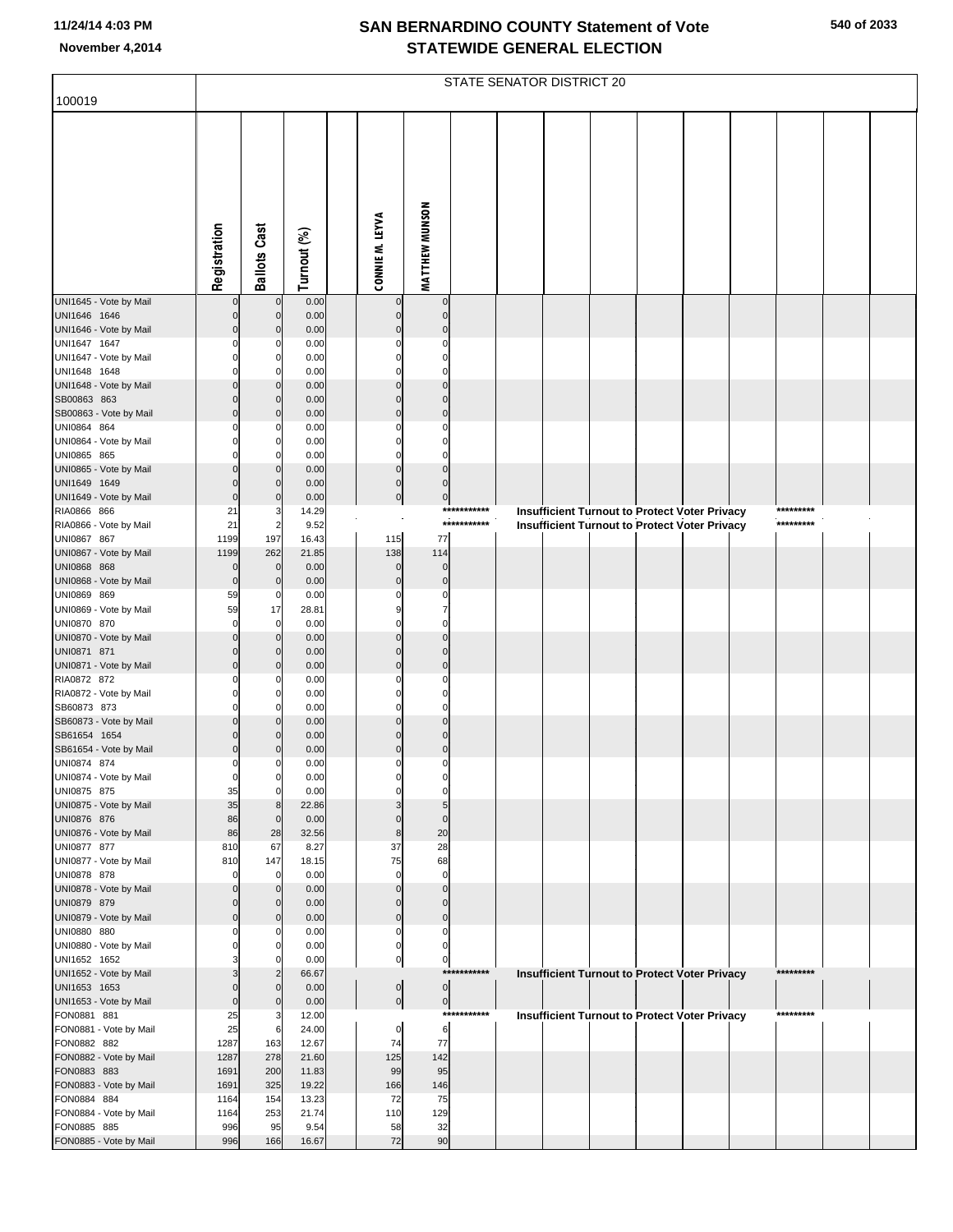| 100019                                 |                            |                                  |                |                          |                            |             | STATE SENATOR DISTRICT 20                            |  |  |           |  |
|----------------------------------------|----------------------------|----------------------------------|----------------|--------------------------|----------------------------|-------------|------------------------------------------------------|--|--|-----------|--|
|                                        |                            |                                  |                |                          |                            |             |                                                      |  |  |           |  |
|                                        |                            |                                  |                |                          |                            |             |                                                      |  |  |           |  |
|                                        |                            |                                  |                |                          |                            |             |                                                      |  |  |           |  |
|                                        |                            |                                  |                |                          |                            |             |                                                      |  |  |           |  |
|                                        |                            |                                  |                |                          |                            |             |                                                      |  |  |           |  |
|                                        |                            |                                  |                |                          |                            |             |                                                      |  |  |           |  |
|                                        |                            |                                  |                |                          |                            |             |                                                      |  |  |           |  |
|                                        |                            |                                  |                |                          |                            |             |                                                      |  |  |           |  |
|                                        | Registration               | <b>Ballots Cast</b>              | Turnout (%)    | CONNIE M. LEYVA          | <b>MATTHEW MUNSON</b>      |             |                                                      |  |  |           |  |
|                                        |                            |                                  |                |                          |                            |             |                                                      |  |  |           |  |
| UNI1645 - Vote by Mail                 | $\mathbf 0$                | $\mathbf{0}$                     | 0.00           |                          | $\mathbf 0$                |             |                                                      |  |  |           |  |
| UNI1646 1646<br>UNI1646 - Vote by Mail | $\Omega$<br>$\mathbf 0$    | $\overline{0}$<br>$\overline{0}$ | 0.00<br>0.00   | $\Omega$<br>$\Omega$     | $\mathbf{0}$<br>$\Omega$   |             |                                                      |  |  |           |  |
| UNI1647 1647                           | $\Omega$                   | 0                                | 0.00           | 0                        | $\Omega$                   |             |                                                      |  |  |           |  |
| UNI1647 - Vote by Mail                 | $\Omega$                   | $\mathbf{0}$<br>$\Omega$         | 0.00           | $\Omega$                 | $\Omega$<br>$\Omega$       |             |                                                      |  |  |           |  |
| UNI1648 1648<br>UNI1648 - Vote by Mail | $\Omega$<br>$\mathbf 0$    | $\overline{0}$                   | 0.00<br>0.00   | $\Omega$<br>$\Omega$     | $\Omega$                   |             |                                                      |  |  |           |  |
| SB00863 863                            | $\Omega$                   | $\overline{0}$                   | 0.00           | $\Omega$                 | $\Omega$                   |             |                                                      |  |  |           |  |
| SB00863 - Vote by Mail                 | $\mathbf 0$                | $\overline{0}$                   | 0.00           | $\Omega$<br>C            | $\mathbf{0}$<br>$\Omega$   |             |                                                      |  |  |           |  |
| UNI0864 864<br>UNI0864 - Vote by Mail  | 0<br>$\Omega$              | 0<br>0                           | 0.00<br>0.00   | $\Omega$                 | $\Omega$                   |             |                                                      |  |  |           |  |
| UNI0865 865                            |                            |                                  | 0.00           | $\Omega$                 | $\Omega$                   |             |                                                      |  |  |           |  |
| UNI0865 - Vote by Mail                 | $\Omega$<br>$\Omega$       | $\overline{0}$                   | 0.00           | $\mathbf 0$              | $\mathbf{0}$               |             |                                                      |  |  |           |  |
| UNI1649 1649<br>UNI1649 - Vote by Mail | $\Omega$                   | $\Omega$<br>$\overline{0}$       | 0.00<br>0.00   | $\mathbf 0$<br>$\pmb{0}$ | $\Omega$<br>$\mathbf 0$    |             |                                                      |  |  |           |  |
| RIA0866 866                            | 21                         | 3                                | 14.29          |                          |                            | *********** | <b>Insufficient Turnout to Protect Voter Privacy</b> |  |  | ********* |  |
| RIA0866 - Vote by Mail                 | 21                         | $\overline{2}$                   | 9.52           |                          |                            | *********** | Insufficient Turnout to Protect Voter Privacy        |  |  | ********* |  |
| UNI0867 867<br>UNI0867 - Vote by Mail  | 1199<br>1199               | 197<br>262                       | 16.43<br>21.85 | 115<br>138               | 77<br>114                  |             |                                                      |  |  |           |  |
| UNI0868 868                            | $\mathbf 0$                | $\mathbf{0}$                     | 0.00           | $\mathbf 0$              | $\mathbf 0$                |             |                                                      |  |  |           |  |
| UNI0868 - Vote by Mail                 | $\mathbf 0$                | $\overline{0}$                   | 0.00           | $\mathbf 0$              | $\mathbf{0}$               |             |                                                      |  |  |           |  |
| UNI0869 869<br>UNI0869 - Vote by Mail  | 59<br>59                   | $\mathbf 0$<br>17                | 0.00<br>28.81  | 0<br>9                   | 0<br>7                     |             |                                                      |  |  |           |  |
| UNI0870 870                            | $\mathbf 0$                | $\Omega$                         | 0.00           | $\Omega$                 | $\Omega$                   |             |                                                      |  |  |           |  |
| UNI0870 - Vote by Mail                 | $\mathbf 0$                | $\overline{0}$                   | 0.00           | $\Omega$                 | $\Omega$                   |             |                                                      |  |  |           |  |
| UNI0871 871<br>UNI0871 - Vote by Mail  | $\Omega$<br>$\mathbf 0$    | $\overline{0}$<br>$\overline{0}$ | 0.00<br>0.00   | $\Omega$<br>$\Omega$     | $\Omega$<br>$\mathbf{0}$   |             |                                                      |  |  |           |  |
| RIA0872 872                            | $\Omega$                   | 0                                | 0.00           | C                        | $\Omega$                   |             |                                                      |  |  |           |  |
| RIA0872 - Vote by Mail<br>SB60873 873  | $\mathbf 0$<br>$\Omega$    | $\mathbf{0}$<br>$\Omega$         | 0.00<br>0.00   | $\Omega$<br>$\Omega$     | $\Omega$<br>$\Omega$       |             |                                                      |  |  |           |  |
| SB60873 - Vote by Mail                 | $\mathbf 0$                | $\overline{0}$                   | 0.00           | $\Omega$                 | $\Omega$                   |             |                                                      |  |  |           |  |
| SB61654 1654                           | $\mathbf 0$                | $\Omega$                         | 0.00           | $\Omega$                 | $\Omega$                   |             |                                                      |  |  |           |  |
| SB61654 - Vote by Mail<br>UNI0874 874  | $\mathbf 0$<br>$\Omega$    | $\Omega$                         | 0.00<br>0.00   | $\Omega$<br>0            | $\mathbf{0}$<br>$\Omega$   |             |                                                      |  |  |           |  |
| UNI0874 - Vote by Mail                 | 0                          | $\mathbf{0}$                     | 0.00           |                          |                            |             |                                                      |  |  |           |  |
| UNI0875 875                            | 35                         | $\mathbf{0}$                     | 0.00           | $\Omega$                 | $\Omega$                   |             |                                                      |  |  |           |  |
| UNI0875 - Vote by Mail<br>UNI0876 876  | 35<br>86                   | 8<br>$\overline{0}$              | 22.86<br>0.00  | 3<br>$\mathbf 0$         | 5<br>$\mathbf{0}$          |             |                                                      |  |  |           |  |
| UNI0876 - Vote by Mail                 | 86                         | 28                               | 32.56          | 8                        | 20                         |             |                                                      |  |  |           |  |
| UNI0877 877                            | 810                        | 67                               | 8.27           | 37                       | 28                         |             |                                                      |  |  |           |  |
| UNI0877 - Vote by Mail<br>UNI0878 878  | 810<br>$\mathbf 0$         | 147<br>$\Omega$                  | 18.15<br>0.00  | 75<br>$\mathbf 0$        | 68<br>$\mathbf 0$          |             |                                                      |  |  |           |  |
| UNI0878 - Vote by Mail                 | $\mathbf 0$                | $\mathbf{0}$                     | 0.00           | $\mathbf 0$              | $\mathbf 0$                |             |                                                      |  |  |           |  |
| UNI0879 879                            | $\mathbf 0$                | $\overline{0}$                   | 0.00           | $\mathbf 0$              | $\mathbf{0}$               |             |                                                      |  |  |           |  |
| UNI0879 - Vote by Mail<br>UNI0880 880  | $\mathbf 0$<br>$\mathbf 0$ | $\overline{0}$<br>0              | 0.00<br>0.00   | $\mathbf 0$<br>0         | $\mathbf 0$<br>$\mathbf 0$ |             |                                                      |  |  |           |  |
| UNI0880 - Vote by Mail                 | $\mathbf 0$                | $\mathbf{0}$                     | 0.00           | $\mathbf 0$              | $\mathbf 0$                |             |                                                      |  |  |           |  |
| UNI1652 1652                           | 3                          | $\Omega$                         | 0.00           | $\pmb{0}$                | $\pmb{0}$                  | *********** |                                                      |  |  | ********* |  |
| UNI1652 - Vote by Mail<br>UNI1653 1653 | 3<br>$\Omega$              | $\overline{2}$<br>$\overline{0}$ | 66.67<br>0.00  | $\boldsymbol{0}$         | $\overline{0}$             |             | <b>Insufficient Turnout to Protect Voter Privacy</b> |  |  |           |  |
| UNI1653 - Vote by Mail                 | $\mathbf 0$                | $\overline{0}$                   | 0.00           | $\mathbf{0}$             | $\overline{0}$             |             |                                                      |  |  |           |  |
| FON0881 881<br>FON0881 - Vote by Mail  | 25<br>25                   | 3<br>6                           | 12.00<br>24.00 |                          | 6                          | *********** | <b>Insufficient Turnout to Protect Voter Privacy</b> |  |  | ********* |  |
| FON0882 882                            | 1287                       | 163                              | 12.67          | 0<br>74                  | 77                         |             |                                                      |  |  |           |  |
| FON0882 - Vote by Mail                 | 1287                       | 278                              | 21.60          | 125                      | 142                        |             |                                                      |  |  |           |  |
| FON0883 883<br>FON0883 - Vote by Mail  | 1691<br>1691               | 200<br>325                       | 11.83<br>19.22 | 99<br>166                | 95<br>146                  |             |                                                      |  |  |           |  |
| FON0884 884                            | 1164                       | 154                              | 13.23          | 72                       | 75                         |             |                                                      |  |  |           |  |
| FON0884 - Vote by Mail                 | 1164                       | 253                              | 21.74          | 110                      | 129                        |             |                                                      |  |  |           |  |
| FON0885 885<br>FON0885 - Vote by Mail  | 996<br>996                 | 95<br>166                        | 9.54<br>16.67  | 58<br>72                 | 32<br>90                   |             |                                                      |  |  |           |  |
|                                        |                            |                                  |                |                          |                            |             |                                                      |  |  |           |  |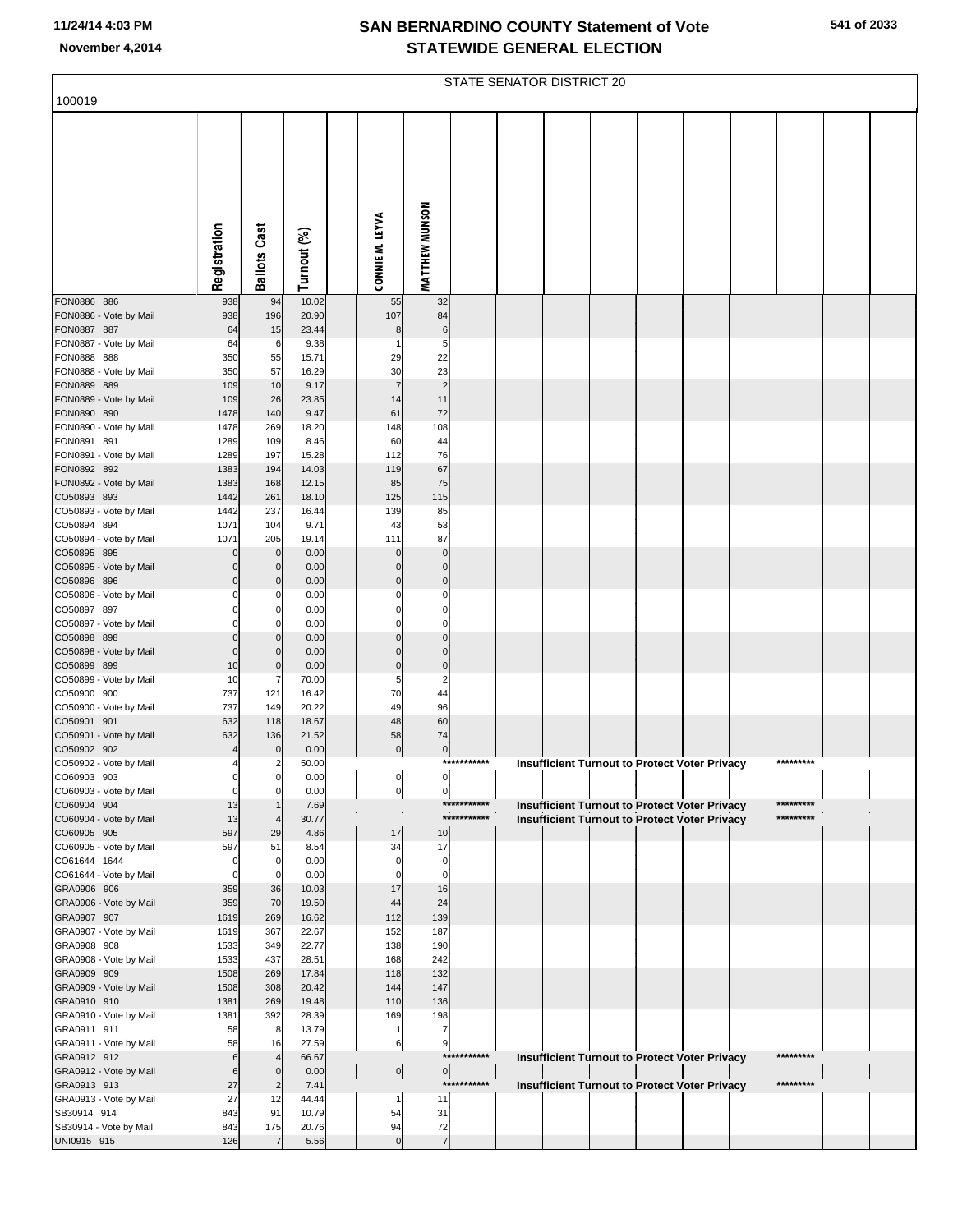| 541 of 2033 |  |
|-------------|--|
|-------------|--|

| 100019                                 |                      |                               |                |                      |                       |             | STATE SENATOR DISTRICT 20 |  |                                                                                                              |           |  |
|----------------------------------------|----------------------|-------------------------------|----------------|----------------------|-----------------------|-------------|---------------------------|--|--------------------------------------------------------------------------------------------------------------|-----------|--|
|                                        |                      |                               |                |                      |                       |             |                           |  |                                                                                                              |           |  |
|                                        |                      |                               |                | CONNIE M. LEYVA      | <b>MATTHEW MUNSON</b> |             |                           |  |                                                                                                              |           |  |
|                                        | Registration         | <b>Ballots Cast</b>           | Turnout (%)    |                      |                       |             |                           |  |                                                                                                              |           |  |
| FON0886 886                            | 938                  | 94                            | 10.02          | 55                   | 32                    |             |                           |  |                                                                                                              |           |  |
| FON0886 - Vote by Mail                 | 938                  | 196                           | 20.90          | 107                  | 84                    |             |                           |  |                                                                                                              |           |  |
| FON0887 887<br>FON0887 - Vote by Mail  | 64<br>64             | 15<br>6                       | 23.44<br>9.38  | 8                    | 6<br>5                |             |                           |  |                                                                                                              |           |  |
| FON0888 888                            | 350                  | 55                            | 15.71          | 29                   | 22                    |             |                           |  |                                                                                                              |           |  |
| FON0888 - Vote by Mail                 | 350                  | 57                            | 16.29          | 30<br>$\overline{7}$ | 23                    |             |                           |  |                                                                                                              |           |  |
| FON0889 889<br>FON0889 - Vote by Mail  | 109<br>109           | 10<br>26                      | 9.17<br>23.85  | 14                   | $\overline{2}$<br>11  |             |                           |  |                                                                                                              |           |  |
| FON0890 890                            | 1478                 | 140                           | 9.47           | 61                   | 72                    |             |                           |  |                                                                                                              |           |  |
| FON0890 - Vote by Mail                 | 1478                 | 269                           | 18.20          | 148                  | 108                   |             |                           |  |                                                                                                              |           |  |
| FON0891 891<br>FON0891 - Vote by Mail  | 1289<br>1289         | 109<br>197                    | 8.46<br>15.28  | 60<br>112            | 44<br>76              |             |                           |  |                                                                                                              |           |  |
| FON0892 892                            | 1383                 | 194                           | 14.03          | 119                  | 67                    |             |                           |  |                                                                                                              |           |  |
| FON0892 - Vote by Mail<br>CO50893 893  | 1383<br>1442         | 168<br>261                    | 12.15<br>18.10 | 85<br>125            | 75<br>115             |             |                           |  |                                                                                                              |           |  |
| CO50893 - Vote by Mail                 | 1442                 | 237                           | 16.44          | 139                  | 85                    |             |                           |  |                                                                                                              |           |  |
| CO50894 894                            | 1071                 | 104                           | 9.71           | 43                   | 53                    |             |                           |  |                                                                                                              |           |  |
| CO50894 - Vote by Mail<br>CO50895 895  | 1071<br>$\Omega$     | 205<br>$\mathbf 0$            | 19.14<br>0.00  | 111<br>$\mathbf{0}$  | 87<br>$\mathbf 0$     |             |                           |  |                                                                                                              |           |  |
| CO50895 - Vote by Mail                 | $\Omega$             | $\mathbf 0$                   | 0.00           | $\Omega$             | 0                     |             |                           |  |                                                                                                              |           |  |
| CO50896 896                            | $\Omega$             | $\mathbf 0$                   | 0.00           | $\Omega$             | $\mathbf 0$           |             |                           |  |                                                                                                              |           |  |
| CO50896 - Vote by Mail<br>CO50897 897  | 0<br>O               | C<br>0                        | 0.00<br>0.00   | 0<br>$\Omega$        | $\Omega$<br>$\Omega$  |             |                           |  |                                                                                                              |           |  |
| CO50897 - Vote by Mail                 | O                    | C                             | 0.00           | 0                    | $\Omega$              |             |                           |  |                                                                                                              |           |  |
| CO50898 898                            | $\Omega$<br>$\Omega$ | $\mathbf 0$<br>$\mathbf 0$    | 0.00           | $\Omega$<br>$\Omega$ | $\Omega$<br>$\Omega$  |             |                           |  |                                                                                                              |           |  |
| CO50898 - Vote by Mail<br>CO50899 899  | 10                   | $\mathbf 0$                   | 0.00<br>0.00   | $\mathbf 0$          | $\pmb{0}$             |             |                           |  |                                                                                                              |           |  |
| CO50899 - Vote by Mail                 | 10                   | 7                             | 70.00          | 5                    | 2                     |             |                           |  |                                                                                                              |           |  |
| CO50900 900<br>CO50900 - Vote by Mail  | 737<br>737           | 121<br>149                    | 16.42<br>20.22 | 70<br>49             | 44<br>96              |             |                           |  |                                                                                                              |           |  |
| CO50901 901                            | 632                  | 118                           | 18.67          | 48                   | 60                    |             |                           |  |                                                                                                              |           |  |
| CO50901 - Vote by Mail                 | 632                  | 136                           | 21.52          | 58                   | 74                    |             |                           |  |                                                                                                              |           |  |
| CO50902 902<br>CO50902 - Vote by Mail  | 4                    | $\mathbf 0$<br>2              | 0.00<br>50.00  | $\overline{0}$       | $\boldsymbol{0}$      | *********** |                           |  | <b>Insufficient Turnout to Protect Voter Privacy</b>                                                         | ********* |  |
| CO60903 903                            | 0                    | 0                             | 0.00           | $\mathsf{d}$         | ol                    |             |                           |  |                                                                                                              |           |  |
| CO60903 - Vote by Mail                 | 0                    | $\mathbf 0$                   | 0.00           | $\overline{0}$       | 0                     | *********** |                           |  |                                                                                                              | ********* |  |
| CO60904 904<br>CO60904 - Vote by Mail  | 13<br>13             | $\overline{4}$                | 7.69<br>30.77  |                      |                       | *********** |                           |  | <b>Insufficient Turnout to Protect Voter Privacy</b><br><b>Insufficient Turnout to Protect Voter Privacy</b> | ********* |  |
| CO60905 905                            | 597                  | 29                            | 4.86           | 17                   | 10                    |             |                           |  |                                                                                                              |           |  |
| CO60905 - Vote by Mail                 | 597<br>0             | 51                            | 8.54           | 34<br>0              | 17<br>0               |             |                           |  |                                                                                                              |           |  |
| CO61644 1644<br>CO61644 - Vote by Mail | 0                    | 0<br>$\mathbf 0$              | 0.00<br>0.00   | O                    | $\mathbf 0$           |             |                           |  |                                                                                                              |           |  |
| GRA0906 906                            | 359                  | 36                            | 10.03          | 17                   | 16                    |             |                           |  |                                                                                                              |           |  |
| GRA0906 - Vote by Mail<br>GRA0907 907  | 359<br>1619          | 70<br>269                     | 19.50<br>16.62 | 44<br>112            | 24<br>139             |             |                           |  |                                                                                                              |           |  |
| GRA0907 - Vote by Mail                 | 1619                 | 367                           | 22.67          | 152                  | 187                   |             |                           |  |                                                                                                              |           |  |
| GRA0908 908                            | 1533                 | 349                           | 22.77          | 138                  | 190                   |             |                           |  |                                                                                                              |           |  |
| GRA0908 - Vote by Mail<br>GRA0909 909  | 1533<br>1508         | 437<br>269                    | 28.51<br>17.84 | 168<br>118           | 242<br>132            |             |                           |  |                                                                                                              |           |  |
| GRA0909 - Vote by Mail                 | 1508                 | 308                           | 20.42          | 144                  | 147                   |             |                           |  |                                                                                                              |           |  |
| GRA0910 910                            | 1381                 | 269                           | 19.48          | 110                  | 136                   |             |                           |  |                                                                                                              |           |  |
| GRA0910 - Vote by Mail<br>GRA0911 911  | 1381<br>58           | 392<br>8                      | 28.39<br>13.79 | 169<br>1             | 198<br>7              |             |                           |  |                                                                                                              |           |  |
| GRA0911 - Vote by Mail                 | 58                   | 16                            | 27.59          | 6                    | 9                     |             |                           |  |                                                                                                              |           |  |
| GRA0912 912                            | 6<br>6               | $\overline{4}$<br>$\mathbf 0$ | 66.67          |                      | 0                     | *********** |                           |  | Insufficient Turnout to Protect Voter Privacy                                                                | ********* |  |
| GRA0912 - Vote by Mail<br>GRA0913 913  | 27                   | $\overline{2}$                | 0.00<br>7.41   | $\circ$              |                       | *********** |                           |  | Insufficient Turnout to Protect Voter Privacy                                                                | ********* |  |
| GRA0913 - Vote by Mail                 | 27                   | 12                            | 44.44          | 1                    | 11                    |             |                           |  |                                                                                                              |           |  |
| SB30914 914<br>SB30914 - Vote by Mail  | 843<br>843           | 91<br>175                     | 10.79<br>20.76 | 54<br>94             | 31<br>72              |             |                           |  |                                                                                                              |           |  |
| UNI0915 915                            | 126                  | $\overline{7}$                | 5.56           | $\mathbf 0$          | $\overline{7}$        |             |                           |  |                                                                                                              |           |  |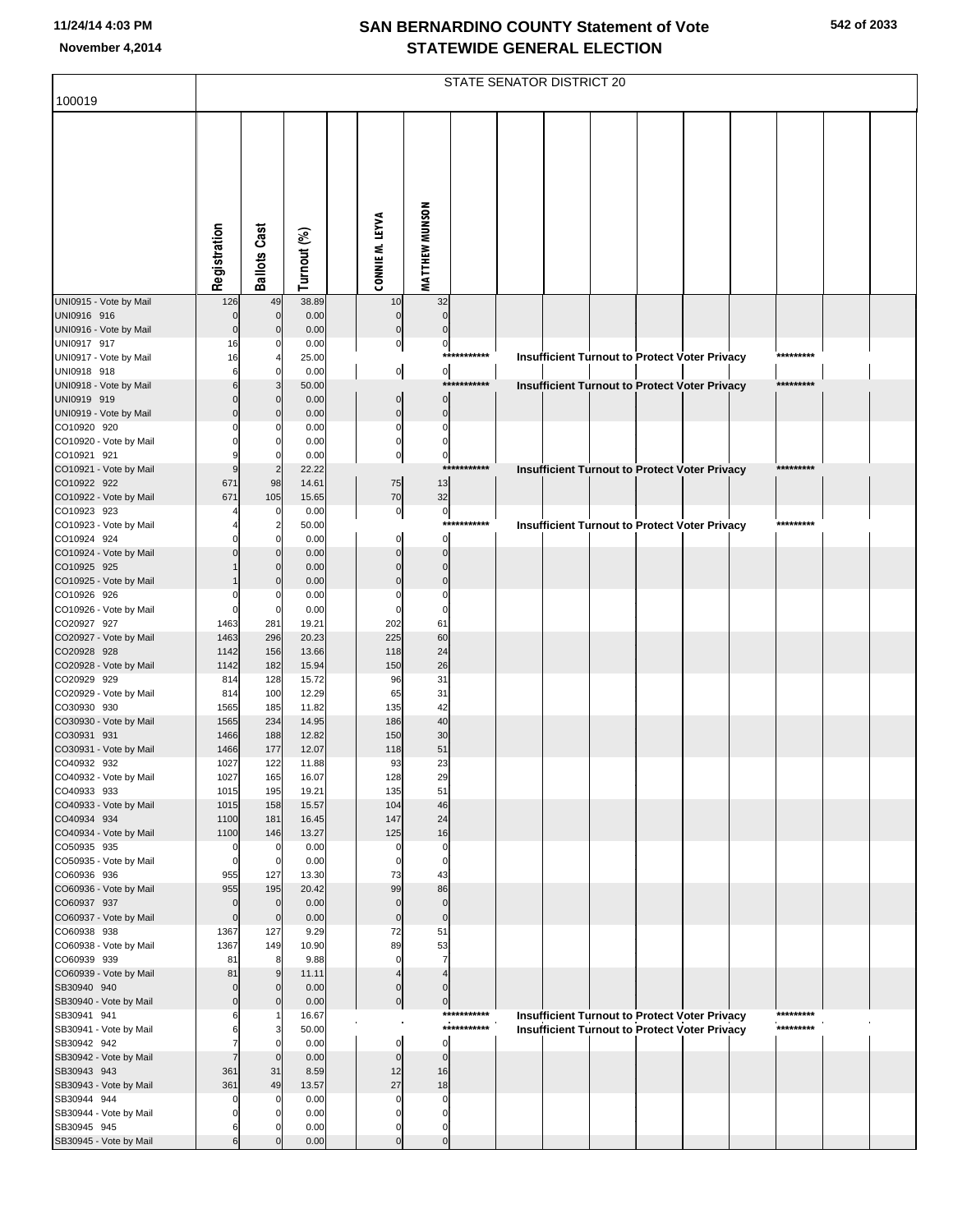|                                       |                  |                      |                |                 |                                              |                               | STATE SENATOR DISTRICT 20 |  |                                                      |                        |  |
|---------------------------------------|------------------|----------------------|----------------|-----------------|----------------------------------------------|-------------------------------|---------------------------|--|------------------------------------------------------|------------------------|--|
| 100019                                |                  |                      |                |                 |                                              |                               |                           |  |                                                      |                        |  |
|                                       | Registration     | <b>Ballots Cast</b>  | Turnout (%)    | CONNIE M. LEYVA | MATTHEW MUNSON                               |                               |                           |  |                                                      |                        |  |
| UNI0915 - Vote by Mail                | 126              | 49                   | 38.89          |                 | 32<br>10                                     |                               |                           |  |                                                      |                        |  |
| UNI0916 916                           | $\mathbf 0$      | $\mathbf 0$          | 0.00           |                 | $\mathbf 0$<br>$\mathbf 0$                   |                               |                           |  |                                                      |                        |  |
| UNI0916 - Vote by Mail                | $\mathbf 0$      | $\Omega$             | 0.00           |                 | $\Omega$<br>$\mathbf 0$                      |                               |                           |  |                                                      |                        |  |
| UNI0917 917<br>UNI0917 - Vote by Mail | 16<br>16         |                      | 0.00<br>25.00  |                 | $\mathbf 0$                                  | $\overline{0}$<br>*********** |                           |  |                                                      | *********              |  |
| UNI0918 918                           | 6                | $\Omega$             | 0.00           |                 | $\overline{0}$                               | $\overline{0}$                |                           |  | Insufficient Turnout to Protect Voter Privacy        |                        |  |
| UNI0918 - Vote by Mail                | 6                |                      | 50.00          |                 |                                              | ***********                   |                           |  | <b>Insufficient Turnout to Protect Voter Privacy</b> | *********              |  |
| UNI0919 919                           | $\Omega$         | $\Omega$             | 0.00           |                 | $\Omega$                                     | $\Omega$                      |                           |  |                                                      |                        |  |
| UNI0919 - Vote by Mail                | $\Omega$         | $\Omega$             | 0.00           |                 | $\Omega$                                     | $\overline{0}$                |                           |  |                                                      |                        |  |
| CO10920 920<br>CO10920 - Vote by Mail |                  | $\Omega$             | 0.00<br>0.00   |                 | $\mathbf 0$<br>$\mathbf 0$<br>$\mathbf 0$    | $\mathbf 0$                   |                           |  |                                                      |                        |  |
| CO10921 921                           |                  | $\Omega$             | 0.00           |                 | $\mathbf 0$                                  | $\overline{0}$                |                           |  |                                                      |                        |  |
| CO10921 - Vote by Mail                | 9                | $\overline{2}$       | 22.22          |                 |                                              | ***********                   |                           |  | Insufficient Turnout to Protect Voter Privacy        | *********              |  |
| CO10922 922                           | 671              | 98                   | 14.61          |                 | 13<br>75                                     |                               |                           |  |                                                      |                        |  |
| CO10922 - Vote by Mail<br>CO10923 923 | 671              | 105<br>$\Omega$      | 15.65<br>0.00  |                 | 70<br>32                                     |                               |                           |  |                                                      |                        |  |
| CO10923 - Vote by Mail                |                  | 2                    | 50.00          |                 | $\mathbf 0$                                  | $\overline{0}$<br>*********** |                           |  | Insufficient Turnout to Protect Voter Privacy        | *********              |  |
| CO10924 924                           |                  | $\Omega$             | 0.00           |                 | $\Omega$                                     | $\Omega$                      |                           |  |                                                      |                        |  |
| CO10924 - Vote by Mail                |                  |                      | 0.00           |                 | $\sqrt{ }$                                   | $\mathbf 0$                   |                           |  |                                                      |                        |  |
| CO10925 925                           |                  | $\Omega$             | 0.00           |                 | C                                            | $\mathbf 0$                   |                           |  |                                                      |                        |  |
| CO10925 - Vote by Mail<br>CO10926 926 |                  | $\Omega$<br>- 0      | 0.00<br>0.00   |                 | $\mathbf 0$<br>$\sqrt{ }$<br>$\Omega$        |                               |                           |  |                                                      |                        |  |
| CO10926 - Vote by Mail                | $\Omega$         | 0                    | 0.00           |                 | $\mathbf 0$                                  |                               |                           |  |                                                      |                        |  |
| CO20927 927                           | 1463             | 281                  | 19.21          |                 | 61<br>202                                    |                               |                           |  |                                                      |                        |  |
| CO20927 - Vote by Mail                | 1463             | 296                  | 20.23          |                 | 225<br>60                                    |                               |                           |  |                                                      |                        |  |
| CO20928 928<br>CO20928 - Vote by Mail | 1142<br>1142     | 156<br>182           | 13.66<br>15.94 |                 | 24<br>118<br>26<br>150                       |                               |                           |  |                                                      |                        |  |
| CO20929 929                           | 814              | 128                  | 15.72          |                 | 31<br>96                                     |                               |                           |  |                                                      |                        |  |
| CO20929 - Vote by Mail                | 814              | 100                  | 12.29          |                 | 65<br>31                                     |                               |                           |  |                                                      |                        |  |
| CO30930 930                           | 1565             | 185                  | 11.82          |                 | 42<br>135                                    |                               |                           |  |                                                      |                        |  |
| CO30930 - Vote by Mail<br>CO30931 931 | 1565             | 234<br>188           | 14.95<br>12.82 |                 | 40<br>186<br>30<br>150                       |                               |                           |  |                                                      |                        |  |
| CO30931 - Vote by Mail                | 1466<br>1466     | 177                  | 12.07          |                 | 51<br>118                                    |                               |                           |  |                                                      |                        |  |
| CO40932 932                           | 1027             | 122                  | 11.88          |                 | 93<br>23                                     |                               |                           |  |                                                      |                        |  |
| CO40932 - Vote by Mail                | 1027             | 165                  | 16.07          |                 | 128<br>29                                    |                               |                           |  |                                                      |                        |  |
| CO40933 933                           | 1015             | 195                  | 19.21          |                 | 51<br>135                                    |                               |                           |  |                                                      |                        |  |
| CO40933 - Vote by Mail<br>CO40934 934 | 1015<br>1100     | 158<br>181           | 15.57<br>16.45 |                 | 104<br>46<br>147<br>24                       |                               |                           |  |                                                      |                        |  |
| CO40934 - Vote by Mail                | 1100             | 146                  | 13.27          |                 | 125<br>16                                    |                               |                           |  |                                                      |                        |  |
| CO50935 935                           | $\mathbf 0$      | 0                    | 0.00           |                 | $\mathbf 0$<br>$\mathsf{C}$                  |                               |                           |  |                                                      |                        |  |
| CO50935 - Vote by Mail                | $\mathbf 0$      | $\mathbf 0$          | 0.00           |                 | $\mathbf 0$<br>$\mathcal{C}$                 |                               |                           |  |                                                      |                        |  |
| CO60936 936<br>CO60936 - Vote by Mail | 955<br>955       | 127<br>195           | 13.30<br>20.42 |                 | 73<br>43<br>86<br>99                         |                               |                           |  |                                                      |                        |  |
| CO60937 937                           | $\mathbf 0$      | $\mathbf 0$          | 0.00           |                 | $\mathbf 0$<br>$\mathbf 0$                   |                               |                           |  |                                                      |                        |  |
| CO60937 - Vote by Mail                | $\mathbf{0}$     | $\mathbf 0$          | 0.00           |                 | $\mathbf 0$<br>$\mathbf 0$                   |                               |                           |  |                                                      |                        |  |
| CO60938 938                           | 1367             | 127                  | 9.29           |                 | 72<br>51                                     |                               |                           |  |                                                      |                        |  |
| CO60938 - Vote by Mail<br>CO60939 939 | 1367<br>81       | 149<br>8             | 10.90<br>9.88  |                 | 89<br>53<br>$\overline{7}$<br>$\epsilon$     |                               |                           |  |                                                      |                        |  |
| CO60939 - Vote by Mail                | 81               | 9                    | 11.11          |                 | $\overline{4}$                               |                               |                           |  |                                                      |                        |  |
| SB30940 940                           | $\mathbf 0$      | $\Omega$             | 0.00           |                 | C                                            | $\mathbf 0$                   |                           |  |                                                      |                        |  |
| SB30940 - Vote by Mail                | $\mathbf 0$      | $\Omega$             | 0.00           |                 | $\pmb{0}$                                    | $\overline{0}$                |                           |  |                                                      |                        |  |
| SB30941 941                           | 6                |                      | 16.67          |                 |                                              | ************<br>***********   |                           |  | Insufficient Turnout to Protect Voter Privacy        | *********<br>********* |  |
| SB30941 - Vote by Mail<br>SB30942 942 | 6                |                      | 50.00<br>0.00  |                 | $\Omega$                                     | $\mathbf 0$                   |                           |  | Insufficient Turnout to Protect Voter Privacy        |                        |  |
| SB30942 - Vote by Mail                | $\overline{7}$   | $\Omega$             | 0.00           |                 | $\mathbf 0$                                  | $\Omega$                      |                           |  |                                                      |                        |  |
| SB30943 943                           | 361              | 31                   | 8.59           |                 | 16<br>12                                     |                               |                           |  |                                                      |                        |  |
| SB30943 - Vote by Mail                | 361              | 49                   | 13.57          |                 | 27<br>18                                     |                               |                           |  |                                                      |                        |  |
| SB30944 944                           | 0<br>$\mathbf 0$ | $\Omega$<br>$\Omega$ | 0.00<br>0.00   |                 | $\mathbf 0$<br>$\mathsf{C}$<br>$\Omega$<br>C |                               |                           |  |                                                      |                        |  |
| SB30944 - Vote by Mail<br>SB30945 945 | 6                |                      | 0.00           |                 | C<br>$\Omega$                                |                               |                           |  |                                                      |                        |  |
| SB30945 - Vote by Mail                | 6                |                      | 0.00           |                 | $\mathcal{C}$                                | $\pmb{0}$                     |                           |  |                                                      |                        |  |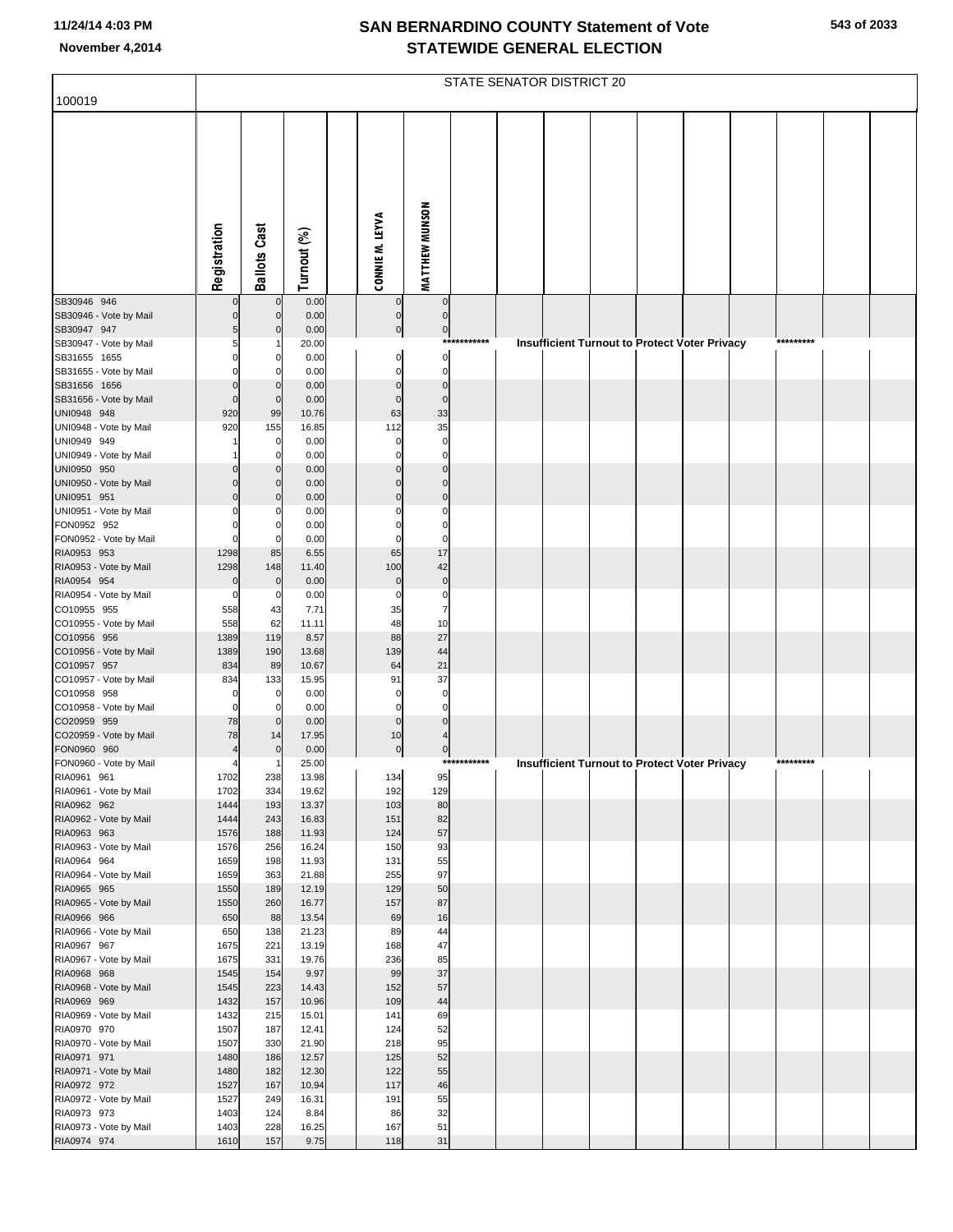|  | 543 of 2033 |
|--|-------------|
|  |             |

|                                        |                         |                                  |                |                            |                            |             | STATE SENATOR DISTRICT 20 |  |                                               |  |           |  |
|----------------------------------------|-------------------------|----------------------------------|----------------|----------------------------|----------------------------|-------------|---------------------------|--|-----------------------------------------------|--|-----------|--|
| 100019                                 |                         |                                  |                |                            |                            |             |                           |  |                                               |  |           |  |
|                                        | Registration            | <b>Ballots Cast</b>              | Turnout (%)    | CONNIE M. LEYVA            | MATTHEW MUNSON             |             |                           |  |                                               |  |           |  |
| SB30946 946                            |                         | $\mathbf 0$                      | 0.00           | $\overline{0}$             | $\pmb{0}$                  |             |                           |  |                                               |  |           |  |
| SB30946 - Vote by Mail<br>SB30947 947  | 5                       | $\overline{0}$<br>$\overline{0}$ | 0.00<br>0.00   | $\pmb{0}$<br>$\mathbf 0$   | $\mathbf 0$<br>$\pmb{0}$   |             |                           |  |                                               |  |           |  |
| SB30947 - Vote by Mail                 | 5                       |                                  | 20.00          |                            |                            | *********** |                           |  | Insufficient Turnout to Protect Voter Privacy |  | ********* |  |
| SB31655 1655                           | $\Omega$                | 0                                | 0.00           | $\mathbf 0$                | $\mathbf 0$                |             |                           |  |                                               |  |           |  |
| SB31655 - Vote by Mail                 |                         | O                                | 0.00           | $\Omega$                   | $\mathbf 0$                |             |                           |  |                                               |  |           |  |
| SB31656 1656<br>SB31656 - Vote by Mail | $\Omega$<br>$\mathbf 0$ | 0<br>$\mathbf{0}$                | 0.00<br>0.00   | $\mathbf 0$<br>$\mathbf 0$ | $\mathbf 0$<br>$\mathbf 0$ |             |                           |  |                                               |  |           |  |
| UNI0948 948                            | 920                     | 99                               | 10.76          | 63                         | 33                         |             |                           |  |                                               |  |           |  |
| UNI0948 - Vote by Mail                 | 920                     | 155                              | 16.85          | 112                        | 35                         |             |                           |  |                                               |  |           |  |
| UNI0949 949                            |                         | $\mathbf 0$                      | 0.00           | $\Omega$                   | $\mathbf 0$                |             |                           |  |                                               |  |           |  |
| UNI0949 - Vote by Mail                 |                         | $\Omega$                         | 0.00           |                            | $\Omega$                   |             |                           |  |                                               |  |           |  |
| UNI0950 950<br>UNI0950 - Vote by Mail  |                         | 0<br>0                           | 0.00<br>0.00   | $\Omega$<br>$\Omega$       | $\Omega$<br>$\Omega$       |             |                           |  |                                               |  |           |  |
| UNI0951 951                            | $\Omega$                | 0                                | 0.00           | $\Omega$                   | $\Omega$                   |             |                           |  |                                               |  |           |  |
| UNI0951 - Vote by Mail                 |                         | O                                | 0.00           | C                          | $\mathsf{C}$               |             |                           |  |                                               |  |           |  |
| FON0952 952                            |                         | 0                                | 0.00           | $\Omega$                   | $\Omega$                   |             |                           |  |                                               |  |           |  |
| FON0952 - Vote by Mail                 |                         | $\Omega$                         | 0.00           | $\Omega$                   | $\Omega$                   |             |                           |  |                                               |  |           |  |
| RIA0953 953<br>RIA0953 - Vote by Mail  | 1298<br>1298            | 85<br>148                        | 6.55<br>11.40  | 65<br>100                  | 17<br>42                   |             |                           |  |                                               |  |           |  |
| RIA0954 954                            | $\mathbf 0$             | $\Omega$                         | 0.00           | $\bf 0$                    | $\pmb{0}$                  |             |                           |  |                                               |  |           |  |
| RIA0954 - Vote by Mail                 | 0                       | 0                                | 0.00           | $\mathbf 0$                | $\mathbf 0$                |             |                           |  |                                               |  |           |  |
| CO10955 955                            | 558                     | 43                               | 7.71           | 35                         | $\overline{7}$             |             |                           |  |                                               |  |           |  |
| CO10955 - Vote by Mail                 | 558                     | 62                               | 11.11          | 48                         | 10                         |             |                           |  |                                               |  |           |  |
| CO10956 956<br>CO10956 - Vote by Mail  | 1389<br>1389            | 119<br>190                       | 8.57<br>13.68  | 88<br>139                  | 27<br>44                   |             |                           |  |                                               |  |           |  |
| CO10957 957                            | 834                     | 89                               | 10.67          | 64                         | 21                         |             |                           |  |                                               |  |           |  |
| CO10957 - Vote by Mail                 | 834                     | 133                              | 15.95          | 91                         | 37                         |             |                           |  |                                               |  |           |  |
| CO10958 958                            |                         | $\mathbf 0$                      | 0.00           | $\mathbf 0$                | $\mathbf 0$                |             |                           |  |                                               |  |           |  |
| CO10958 - Vote by Mail                 | $\Omega$                | $\Omega$                         | 0.00           | $\mathbf 0$<br>$\mathbf 0$ | $\Omega$<br>$\Omega$       |             |                           |  |                                               |  |           |  |
| CO20959 959<br>CO20959 - Vote by Mail  | 78<br>78                | $\overline{0}$<br>14             | 0.00<br>17.95  | 10                         |                            |             |                           |  |                                               |  |           |  |
| FON0960 960                            |                         | $\Omega$                         | 0.00           | $\pmb{0}$                  | $\mathbf 0$                |             |                           |  |                                               |  |           |  |
| FON0960 - Vote by Mail                 |                         |                                  | 25.00          |                            |                            | *********** |                           |  | Insufficient Turnout to Protect Voter Privacy |  | ********* |  |
| RIA0961 961                            | 1702                    | 238                              | 13.98          | 134                        | 95                         |             |                           |  |                                               |  |           |  |
| RIA0961 - Vote by Mail                 | 1702<br>1444            | 334<br>193                       | 19.62          | 192<br>103                 | 129<br>80                  |             |                           |  |                                               |  |           |  |
| RIA0962 962<br>RIA0962 - Vote by Mail  | 1444                    | 243                              | 13.37<br>16.83 | 151                        | 82                         |             |                           |  |                                               |  |           |  |
| RIA0963 963                            | 1576                    | 188                              | 11.93          | 124                        | 57                         |             |                           |  |                                               |  |           |  |
| RIA0963 - Vote by Mail                 | 1576                    | 256                              | 16.24          | 150                        | 93                         |             |                           |  |                                               |  |           |  |
| RIA0964 964                            | 1659                    | 198                              | 11.93          | 131                        | 55<br>97                   |             |                           |  |                                               |  |           |  |
| RIA0964 - Vote by Mail<br>RIA0965 965  | 1659<br>1550            | 363<br>189                       | 21.88<br>12.19 | 255<br>129                 | 50                         |             |                           |  |                                               |  |           |  |
| RIA0965 - Vote by Mail                 | 1550                    | 260                              | 16.77          | 157                        | 87                         |             |                           |  |                                               |  |           |  |
| RIA0966 966                            | 650                     | 88                               | 13.54          | 69                         | 16                         |             |                           |  |                                               |  |           |  |
| RIA0966 - Vote by Mail                 | 650                     | 138                              | 21.23          | 89                         | 44                         |             |                           |  |                                               |  |           |  |
| RIA0967 967<br>RIA0967 - Vote by Mail  | 1675<br>1675            | 221<br>331                       | 13.19<br>19.76 | 168<br>236                 | 47<br>85                   |             |                           |  |                                               |  |           |  |
| RIA0968 968                            | 1545                    | 154                              | 9.97           | 99                         | 37                         |             |                           |  |                                               |  |           |  |
| RIA0968 - Vote by Mail                 | 1545                    | 223                              | 14.43          | 152                        | 57                         |             |                           |  |                                               |  |           |  |
| RIA0969 969                            | 1432                    | 157                              | 10.96          | 109                        | 44                         |             |                           |  |                                               |  |           |  |
| RIA0969 - Vote by Mail                 | 1432                    | 215                              | 15.01          | 141                        | 69                         |             |                           |  |                                               |  |           |  |
| RIA0970 970<br>RIA0970 - Vote by Mail  | 1507<br>1507            | 187<br>330                       | 12.41<br>21.90 | 124<br>218                 | 52<br>95                   |             |                           |  |                                               |  |           |  |
| RIA0971 971                            | 1480                    | 186                              | 12.57          | 125                        | 52                         |             |                           |  |                                               |  |           |  |
| RIA0971 - Vote by Mail                 | 1480                    | 182                              | 12.30          | 122                        | 55                         |             |                           |  |                                               |  |           |  |
| RIA0972 972                            | 1527                    | 167                              | 10.94          | 117                        | 46                         |             |                           |  |                                               |  |           |  |
| RIA0972 - Vote by Mail                 | 1527                    | 249                              | 16.31          | 191                        | 55                         |             |                           |  |                                               |  |           |  |
| RIA0973 973<br>RIA0973 - Vote by Mail  | 1403<br>1403            | 124<br>228                       | 8.84<br>16.25  | 86<br>167                  | 32<br>51                   |             |                           |  |                                               |  |           |  |
| RIA0974 974                            | 1610                    | 157                              | 9.75           | 118                        | 31                         |             |                           |  |                                               |  |           |  |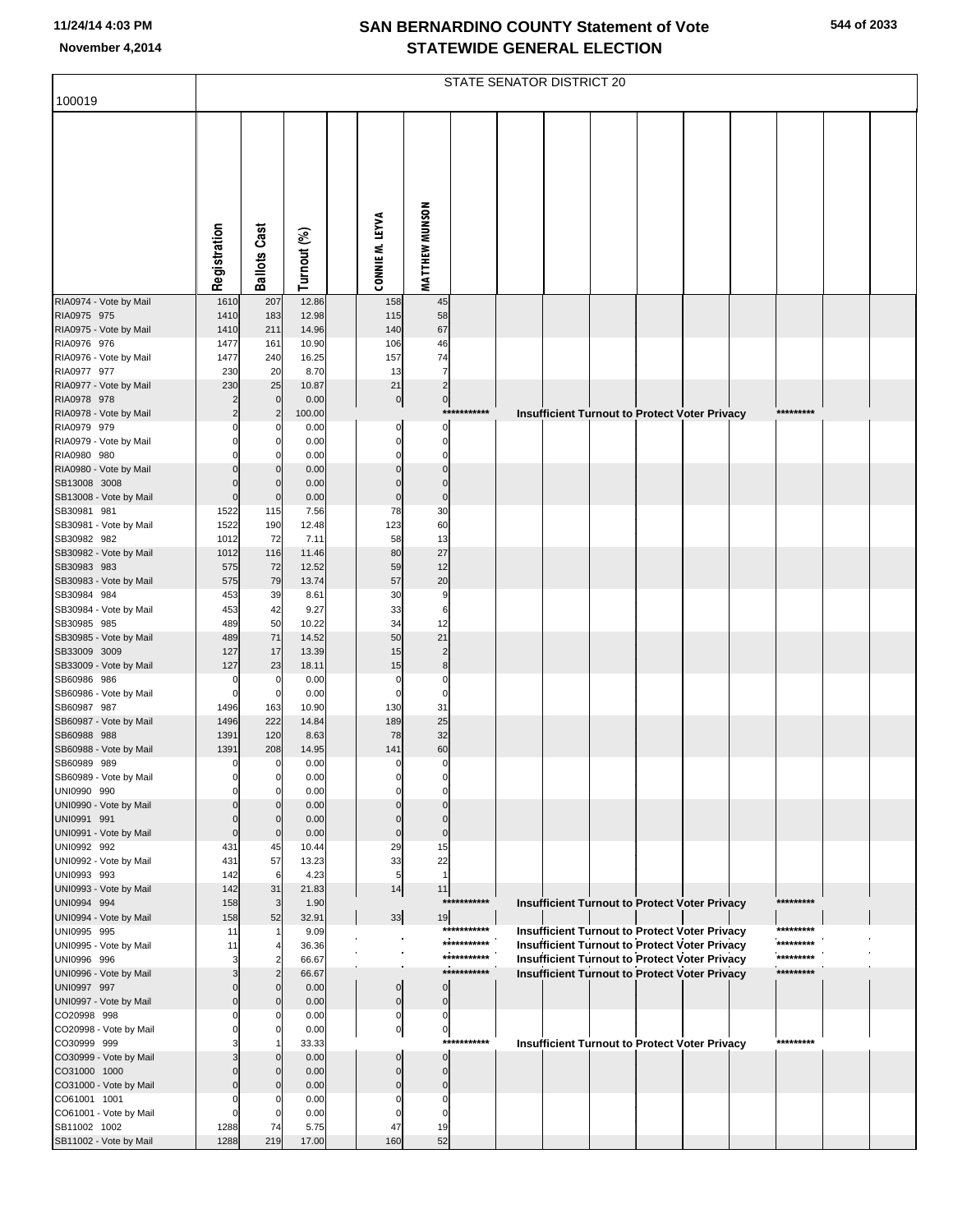|                                        |                     |                     |                |                            |                         |             | STATE SENATOR DISTRICT 20 |  |                                                      |           |  |
|----------------------------------------|---------------------|---------------------|----------------|----------------------------|-------------------------|-------------|---------------------------|--|------------------------------------------------------|-----------|--|
| 100019                                 |                     |                     |                |                            |                         |             |                           |  |                                                      |           |  |
|                                        | Registration        | <b>Ballots Cast</b> | Turnout (%)    | CONNIE M. LEYVA            | <b>MATTHEW MUNSON</b>   |             |                           |  |                                                      |           |  |
| RIA0974 - Vote by Mail                 | 1610                | 207                 | 12.86          | 158                        | 45                      |             |                           |  |                                                      |           |  |
| RIA0975 975                            | 1410                | 183                 | 12.98          | 115                        | 58                      |             |                           |  |                                                      |           |  |
| RIA0975 - Vote by Mail                 | 1410                | 211                 | 14.96          | 140                        | 67                      |             |                           |  |                                                      |           |  |
| RIA0976 976                            | 1477<br>1477        | 161                 | 10.90<br>16.25 | 106<br>157                 | 46<br>74                |             |                           |  |                                                      |           |  |
| RIA0976 - Vote by Mail<br>RIA0977 977  | 230                 | 240<br>20           | 8.70           | 13                         | $\overline{7}$          |             |                           |  |                                                      |           |  |
| RIA0977 - Vote by Mail                 | 230                 | 25                  | 10.87          | 21                         | $\overline{2}$          |             |                           |  |                                                      |           |  |
| RIA0978 978                            |                     | $\mathbf 0$         | 0.00           | $\overline{0}$             | $\overline{0}$          |             |                           |  |                                                      |           |  |
| RIA0978 - Vote by Mail                 | $\overline{c}$      | $\overline{2}$      | 100.00         |                            |                         | *********** |                           |  | <b>Insufficient Turnout to Protect Voter Privacy</b> | ********* |  |
| RIA0979 979                            | O<br>$\Omega$       |                     | 0.00<br>0.00   | 0<br>$\mathbf 0$           | 0<br>$\mathbf 0$        |             |                           |  |                                                      |           |  |
| RIA0979 - Vote by Mail<br>RIA0980 980  |                     |                     | 0.00           | 0                          | 0                       |             |                           |  |                                                      |           |  |
| RIA0980 - Vote by Mail                 | $\Omega$            |                     | 0.00           | $\mathbf 0$                | $\mathbf 0$             |             |                           |  |                                                      |           |  |
| SB13008 3008                           | $\Omega$            |                     | 0.00           | $\Omega$                   | $\mathbf 0$             |             |                           |  |                                                      |           |  |
| SB13008 - Vote by Mail                 | $\mathbf 0$         | $\Omega$            | 0.00           | $\bf 0$                    | $\pmb{0}$               |             |                           |  |                                                      |           |  |
| SB30981 981<br>SB30981 - Vote by Mail  | 1522<br>1522        | 115<br>190          | 7.56<br>12.48  | 78<br>123                  | 30<br>60                |             |                           |  |                                                      |           |  |
| SB30982 982                            | 1012                | 72                  | 7.11           | 58                         | 13                      |             |                           |  |                                                      |           |  |
| SB30982 - Vote by Mail                 | 1012                | 116                 | 11.46          | 80                         | 27                      |             |                           |  |                                                      |           |  |
| SB30983 983                            | 575                 | 72                  | 12.52          | 59                         | 12                      |             |                           |  |                                                      |           |  |
| SB30983 - Vote by Mail                 | 575                 | 79                  | 13.74          | 57                         | 20                      |             |                           |  |                                                      |           |  |
| SB30984 984<br>SB30984 - Vote by Mail  | 453<br>453          | 39<br>42            | 8.61<br>9.27   | 30<br>33                   | 9<br>6                  |             |                           |  |                                                      |           |  |
| SB30985 985                            | 489                 | 50                  | 10.22          | 34                         | 12                      |             |                           |  |                                                      |           |  |
| SB30985 - Vote by Mail                 | 489                 | 71                  | 14.52          | 50                         | 21                      |             |                           |  |                                                      |           |  |
| SB33009 3009                           | 127                 | 17                  | 13.39          | 15                         | $\overline{2}$          |             |                           |  |                                                      |           |  |
| SB33009 - Vote by Mail<br>SB60986 986  | 127                 | 23                  | 18.11          | 15                         | 8<br>$\mathbf 0$        |             |                           |  |                                                      |           |  |
| SB60986 - Vote by Mail                 | 0<br>$\mathbf 0$    | 0<br>$\mathbf 0$    | 0.00<br>0.00   | $\mathbf 0$<br>$\mathbf 0$ | $\mathbf 0$             |             |                           |  |                                                      |           |  |
| SB60987 987                            | 1496                | 163                 | 10.90          | 130                        | 31                      |             |                           |  |                                                      |           |  |
| SB60987 - Vote by Mail                 | 1496                | 222                 | 14.84          | 189                        | 25                      |             |                           |  |                                                      |           |  |
| SB60988 988                            | 1391                | 120                 | 8.63           | 78                         | 32                      |             |                           |  |                                                      |           |  |
| SB60988 - Vote by Mail<br>SB60989 989  | 1391<br>$\mathbf 0$ | 208<br>0            | 14.95<br>0.00  | 141<br>$\mathbf 0$         | 60<br>$\pmb{0}$         |             |                           |  |                                                      |           |  |
| SB60989 - Vote by Mail                 |                     | 0                   | 0.00           |                            |                         |             |                           |  |                                                      |           |  |
| UNI0990 990                            | $\Omega$            | 0                   | 0.00           | 0                          | 0                       |             |                           |  |                                                      |           |  |
| UNI0990 - Vote by Mail                 |                     |                     | 0.00           |                            | $\Omega$                |             |                           |  |                                                      |           |  |
| UNI0991 991<br>UNI0991 - Vote by Mail  | $\mathbf 0$         | $\mathbf 0$         | 0.00<br>0.00   | $\Omega$<br>$\mathbf 0$    | $\Omega$<br>$\mathbf 0$ |             |                           |  |                                                      |           |  |
| UNI0992 992                            | 431                 | 45                  | 10.44          | 29                         | 15                      |             |                           |  |                                                      |           |  |
| UNI0992 - Vote by Mail                 | 431                 | 57                  | 13.23          | 33                         | 22                      |             |                           |  |                                                      |           |  |
| UNI0993 993                            | 142                 | 6                   | 4.23           | 5                          | $\mathbf{1}$            |             |                           |  |                                                      |           |  |
| UNI0993 - Vote by Mail                 | 142                 | 31                  | 21.83          | 14                         | 11                      | *********** |                           |  |                                                      | ********* |  |
| UNI0994 994<br>UNI0994 - Vote by Mail  | 158<br>158          | 3<br>52             | 1.90<br>32.91  | $33\,$                     | 19                      |             |                           |  | Insufficient Turnout to Protect Voter Privacy        |           |  |
| UNI0995 995                            | 11                  |                     | 9.09           |                            |                         | *********** |                           |  | <b>Insufficient Turnout to Protect Voter Privacy</b> | ********* |  |
| UNI0995 - Vote by Mail                 | 11                  |                     | 36.36          |                            |                         | *********** |                           |  | <b>Insufficient Turnout to Protect Voter Privacy</b> | ********* |  |
| UNI0996 996                            | З                   |                     | 66.67          |                            |                         | *********** |                           |  | <b>Insufficient Turnout to Protect Voter Privacy</b> | ********* |  |
| UNI0996 - Vote by Mail<br>UNI0997 997  |                     |                     | 66.67          | $\mathbf 0$                | $\mathbf 0$             | *********** |                           |  | <b>Insufficient Turnout to Protect Voter Privacy</b> | ********* |  |
| UNI0997 - Vote by Mail                 | $\Omega$            |                     | 0.00<br>0.00   | $\pmb{0}$                  | $\pmb{0}$               |             |                           |  |                                                      |           |  |
| CO20998 998                            |                     |                     | 0.00           | $\boldsymbol{0}$           | $\mathbf 0$             |             |                           |  |                                                      |           |  |
| CO20998 - Vote by Mail                 |                     |                     | 0.00           | $\overline{0}$             | $\overline{0}$          |             |                           |  |                                                      |           |  |
| CO30999 999                            |                     |                     | 33.33          |                            | ***                     | *******     |                           |  | <b>Insufficient Turnout to Protect Voter Privacy</b> | ********* |  |
| CO30999 - Vote by Mail<br>CO31000 1000 |                     |                     | 0.00<br>0.00   | $\Omega$<br>$\Omega$       | $\Omega$<br>$\Omega$    |             |                           |  |                                                      |           |  |
| CO31000 - Vote by Mail                 |                     |                     | 0.00           | $\Omega$                   | $\Omega$                |             |                           |  |                                                      |           |  |
| CO61001 1001                           |                     |                     | 0.00           | $\Omega$                   | $\Omega$                |             |                           |  |                                                      |           |  |
| CO61001 - Vote by Mail                 | $\Omega$            |                     | 0.00           | $\Omega$                   | $\Omega$                |             |                           |  |                                                      |           |  |
| SB11002 1002                           | 1288                | 74                  | 5.75           | 47                         | 19                      |             |                           |  |                                                      |           |  |
| SB11002 - Vote by Mail                 | 1288                | 219                 | 17.00          | 160                        | 52                      |             |                           |  |                                                      |           |  |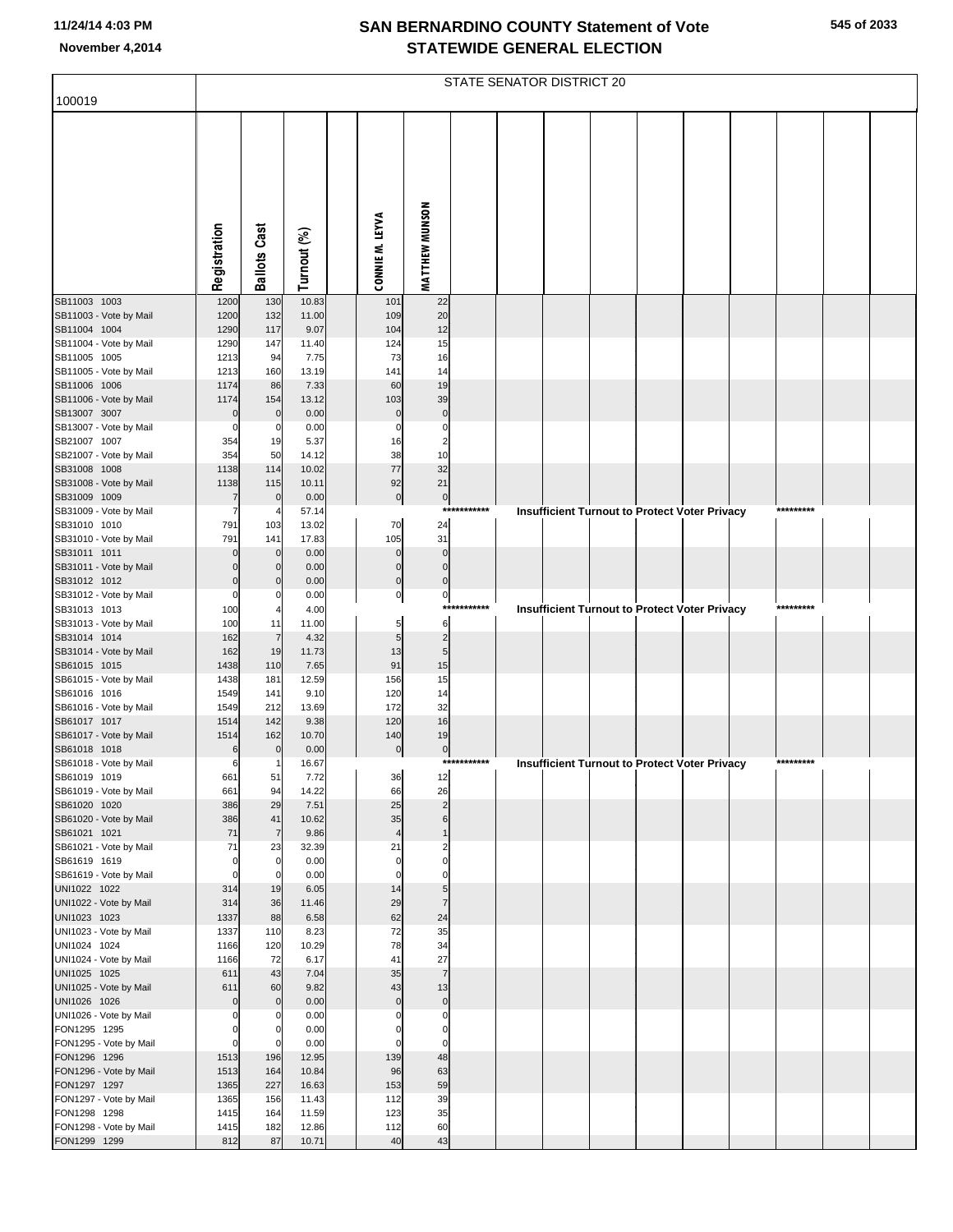| 100019                                 |                            |                      |                |                            |                            |             | STATE SENATOR DISTRICT 20 |  |                                                      |           |  |
|----------------------------------------|----------------------------|----------------------|----------------|----------------------------|----------------------------|-------------|---------------------------|--|------------------------------------------------------|-----------|--|
|                                        |                            |                      |                |                            |                            |             |                           |  |                                                      |           |  |
|                                        |                            |                      |                |                            |                            |             |                           |  |                                                      |           |  |
|                                        |                            |                      |                |                            |                            |             |                           |  |                                                      |           |  |
|                                        |                            |                      |                |                            |                            |             |                           |  |                                                      |           |  |
|                                        |                            |                      |                |                            |                            |             |                           |  |                                                      |           |  |
|                                        |                            |                      |                |                            |                            |             |                           |  |                                                      |           |  |
|                                        |                            |                      |                |                            |                            |             |                           |  |                                                      |           |  |
|                                        |                            |                      |                |                            |                            |             |                           |  |                                                      |           |  |
|                                        | Registration               | <b>Ballots Cast</b>  | Turnout (%)    | CONNIE M. LEYVA            | MATTHEW MUNSON             |             |                           |  |                                                      |           |  |
|                                        |                            |                      |                |                            |                            |             |                           |  |                                                      |           |  |
| SB11003 1003<br>SB11003 - Vote by Mail | 1200<br>1200               | 130<br>132           | 10.83<br>11.00 | 101<br>109                 | 22<br>20                   |             |                           |  |                                                      |           |  |
| SB11004 1004                           | 1290                       | 117                  | 9.07           | 104                        | 12                         |             |                           |  |                                                      |           |  |
| SB11004 - Vote by Mail                 | 1290                       | 147                  | 11.40          | 124                        | 15                         |             |                           |  |                                                      |           |  |
| SB11005 1005<br>SB11005 - Vote by Mail | 1213<br>1213               | 94<br>160            | 7.75<br>13.19  | 73<br>141                  | 16<br>14                   |             |                           |  |                                                      |           |  |
| SB11006 1006                           | 1174                       | 86                   | 7.33           | 60                         | 19                         |             |                           |  |                                                      |           |  |
| SB11006 - Vote by Mail                 | 1174                       | 154                  | 13.12          | 103                        | 39                         |             |                           |  |                                                      |           |  |
| SB13007 3007<br>SB13007 - Vote by Mail | $\mathbf{0}$<br>0          | $\mathbf 0$<br>0     | 0.00<br>0.00   | $\mathbf 0$<br>$\mathbf 0$ | $\mathbf 0$<br>$\mathbf 0$ |             |                           |  |                                                      |           |  |
| SB21007 1007                           | 354                        | 19                   | 5.37           | 16                         | $\overline{\mathbf{c}}$    |             |                           |  |                                                      |           |  |
| SB21007 - Vote by Mail                 | 354                        | 50                   | 14.12          | 38                         | 10                         |             |                           |  |                                                      |           |  |
| SB31008 1008                           | 1138                       | 114                  | 10.02          | 77                         | 32                         |             |                           |  |                                                      |           |  |
| SB31008 - Vote by Mail<br>SB31009 1009 | 1138<br>7                  | 115<br>$\mathbf 0$   | 10.11<br>0.00  | 92<br>$\pmb{0}$            | 21<br>$\mathbf 0$          |             |                           |  |                                                      |           |  |
| SB31009 - Vote by Mail                 | 7                          |                      | 57.14          |                            | $***$                      | *******     |                           |  | <b>Insufficient Turnout to Protect Voter Privacy</b> | ********* |  |
| SB31010 1010                           | 791                        | 103                  | 13.02          | 70                         | 24                         |             |                           |  |                                                      |           |  |
| SB31010 - Vote by Mail<br>SB31011 1011 | 791<br>$\mathbf 0$         | 141<br>$\mathbf 0$   | 17.83<br>0.00  | 105<br>$\mathbf 0$         | 31<br>$\mathbf 0$          |             |                           |  |                                                      |           |  |
| SB31011 - Vote by Mail                 | $\Omega$                   |                      | 0.00           | $\mathbf 0$                | $\mathbf 0$                |             |                           |  |                                                      |           |  |
| SB31012 1012                           | $\mathbf 0$                | $\Omega$             | 0.00           | $\mathbf 0$                | $\mathbf 0$                |             |                           |  |                                                      |           |  |
| SB31012 - Vote by Mail<br>SB31013 1013 | $\Omega$<br>100            |                      | 0.00<br>4.00   | $\pmb{0}$                  | $\mathbf 0$                | *********** |                           |  | <b>Insufficient Turnout to Protect Voter Privacy</b> | ********* |  |
| SB31013 - Vote by Mail                 | 100                        | 11                   | 11.00          | 5                          | $6\phantom{1}6$            |             |                           |  |                                                      |           |  |
| SB31014 1014                           | 162                        | $\overline{7}$       | 4.32           | 5                          | $\overline{\mathbf{c}}$    |             |                           |  |                                                      |           |  |
| SB31014 - Vote by Mail<br>SB61015 1015 | 162<br>1438                | 19<br>110            | 11.73<br>7.65  | 13<br>91                   | 5<br>15                    |             |                           |  |                                                      |           |  |
| SB61015 - Vote by Mail                 | 1438                       | 181                  | 12.59          | 156                        | 15                         |             |                           |  |                                                      |           |  |
| SB61016 1016<br>SB61016 - Vote by Mail | 1549                       | 141                  | 9.10           | 120                        | 14                         |             |                           |  |                                                      |           |  |
| SB61017 1017                           | 1549<br>1514               | 212<br>142           | 13.69<br>9.38  | 172<br>120                 | 32<br>16                   |             |                           |  |                                                      |           |  |
| SB61017 - Vote by Mail                 | 1514                       | 162                  | 10.70          | 140                        | 19                         |             |                           |  |                                                      |           |  |
| SB61018 1018                           | 6                          | $\mathbf 0$          | 0.00           | $\pmb{0}$                  | $\boldsymbol{0}$           | *********** |                           |  |                                                      | ********* |  |
| SB61018 - Vote by Mail<br>SB61019 1019 | 6<br>661                   | 51                   | 16.67<br>7.72  | 36                         | 12                         |             |                           |  | <b>Insufficient Turnout to Protect Voter Privacy</b> |           |  |
| SB61019 - Vote by Mail                 | 661                        | 94                   | 14.22          | 66                         | 26                         |             |                           |  |                                                      |           |  |
| SB61020 1020                           | 386                        | 29                   | 7.51           | 25                         | $\overline{2}$<br>6        |             |                           |  |                                                      |           |  |
| SB61020 - Vote by Mail<br>SB61021 1021 | 386<br>71                  | 41<br>$\overline{7}$ | 10.62<br>9.86  | 35<br>$\overline{4}$       | $\overline{1}$             |             |                           |  |                                                      |           |  |
| SB61021 - Vote by Mail                 | 71                         | 23                   | 32.39          | 21                         | $\overline{2}$             |             |                           |  |                                                      |           |  |
| SB61619 1619<br>SB61619 - Vote by Mail | $\mathbf 0$<br>$\mathbf 0$ | $\mathbf 0$<br>0     | 0.00<br>0.00   | $\mathbf 0$<br>$\mathbf 0$ | $\mathbf 0$<br>$\Omega$    |             |                           |  |                                                      |           |  |
| UNI1022 1022                           | 314                        | 19                   | 6.05           | 14                         | 5                          |             |                           |  |                                                      |           |  |
| UNI1022 - Vote by Mail                 | 314                        | 36                   | 11.46          | 29                         | $\overline{7}$             |             |                           |  |                                                      |           |  |
| UNI1023 1023<br>UNI1023 - Vote by Mail | 1337<br>1337               | 88<br>110            | 6.58<br>8.23   | 62<br>72                   | 24<br>35                   |             |                           |  |                                                      |           |  |
| UNI1024 1024                           | 1166                       | 120                  | 10.29          | 78                         | 34                         |             |                           |  |                                                      |           |  |
| UNI1024 - Vote by Mail                 | 1166                       | 72                   | 6.17           | 41                         | 27                         |             |                           |  |                                                      |           |  |
| UNI1025 1025<br>UNI1025 - Vote by Mail | 611<br>611                 | 43<br>60             | 7.04<br>9.82   | 35<br>43                   | $\overline{7}$<br>13       |             |                           |  |                                                      |           |  |
| UNI1026 1026                           | $\mathbf 0$                | $\mathbf 0$          | 0.00           | $\mathbf 0$                | $\pmb{0}$                  |             |                           |  |                                                      |           |  |
| UNI1026 - Vote by Mail                 | $\Omega$                   |                      | 0.00           | $\Omega$                   | $\mathbf 0$                |             |                           |  |                                                      |           |  |
| FON1295 1295<br>FON1295 - Vote by Mail | 0<br>$\mathbf 0$           | 0                    | 0.00<br>0.00   | $\mathbf 0$<br>$\mathbf 0$ | $\mathbf 0$<br>$\mathbf 0$ |             |                           |  |                                                      |           |  |
| FON1296 1296                           | 1513                       | 196                  | 12.95          | 139                        | 48                         |             |                           |  |                                                      |           |  |
| FON1296 - Vote by Mail                 | 1513                       | 164                  | 10.84          | 96                         | 63                         |             |                           |  |                                                      |           |  |
| FON1297 1297<br>FON1297 - Vote by Mail | 1365<br>1365               | 227<br>156           | 16.63<br>11.43 | 153<br>112                 | 59<br>39                   |             |                           |  |                                                      |           |  |
| FON1298 1298                           | 1415                       | 164                  | 11.59          | 123                        | 35                         |             |                           |  |                                                      |           |  |
| FON1298 - Vote by Mail                 | 1415                       | 182                  | 12.86          | 112                        | 60                         |             |                           |  |                                                      |           |  |
| FON1299 1299                           | 812                        | 87                   | 10.71          | 40                         | 43                         |             |                           |  |                                                      |           |  |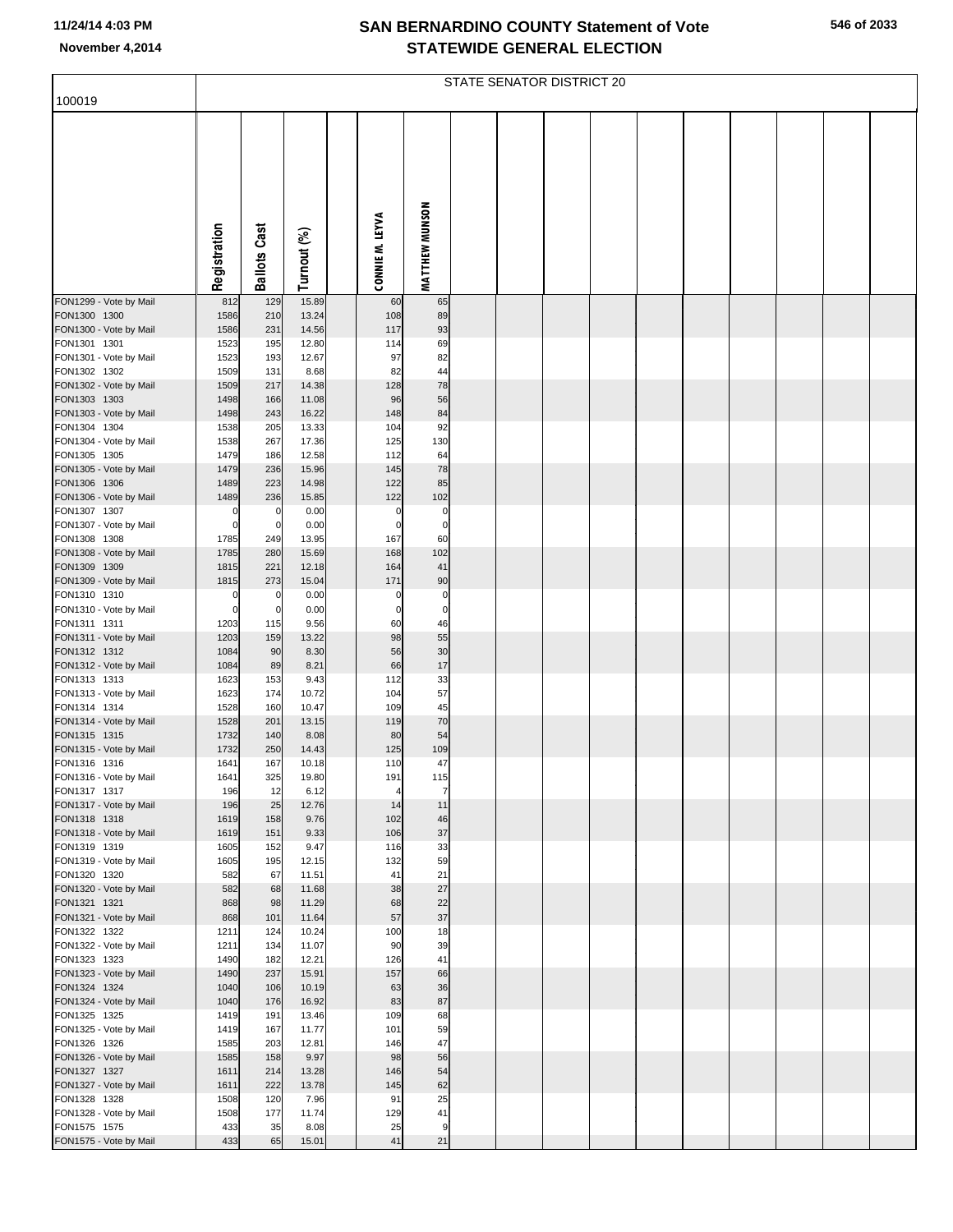| 100019                                 |                      |                     |                |                         |                         | STATE SENATOR DISTRICT 20 |  |  |  |  |
|----------------------------------------|----------------------|---------------------|----------------|-------------------------|-------------------------|---------------------------|--|--|--|--|
|                                        | Registration         | <b>Ballots Cast</b> | Turnout (%)    | CONNIE M. LEYVA         | MATTHEW MUNSON          |                           |  |  |  |  |
| FON1299 - Vote by Mail<br>FON1300 1300 | 812<br>1586          | 129<br>210          | 15.89<br>13.24 | 60<br>108               | 65<br>89                |                           |  |  |  |  |
| FON1300 - Vote by Mail                 | 1586                 | 231                 | 14.56          | 117                     | 93                      |                           |  |  |  |  |
| FON1301 1301                           | 1523                 | 195                 | 12.80          | 114                     | 69                      |                           |  |  |  |  |
| FON1301 - Vote by Mail<br>FON1302 1302 | 1523<br>1509         | 193<br>131          | 12.67<br>8.68  | 97<br>82                | 82<br>44                |                           |  |  |  |  |
| FON1302 - Vote by Mail                 | 1509                 | 217                 | 14.38          | 128                     | 78                      |                           |  |  |  |  |
| FON1303 1303                           | 1498                 | 166                 | 11.08          | 96                      | 56                      |                           |  |  |  |  |
| FON1303 - Vote by Mail                 | 1498                 | 243                 | 16.22          | 148                     | 84                      |                           |  |  |  |  |
| FON1304 1304<br>FON1304 - Vote by Mail | 1538<br>1538         | 205<br>267          | 13.33<br>17.36 | 104<br>125              | 92<br>130               |                           |  |  |  |  |
| FON1305 1305                           | 1479                 | 186                 | 12.58          | 112                     | 64                      |                           |  |  |  |  |
| FON1305 - Vote by Mail                 | 1479                 | 236                 | 15.96          | 145                     | 78                      |                           |  |  |  |  |
| FON1306 1306<br>FON1306 - Vote by Mail | 1489<br>1489         | 223<br>236          | 14.98<br>15.85 | 122<br>122              | 85<br>102               |                           |  |  |  |  |
| FON1307 1307                           | $\mathbf 0$          | 0                   | 0.00           | $\mathbf 0$             | $\Omega$                |                           |  |  |  |  |
| FON1307 - Vote by Mail                 | $\Omega$             | $\mathbf 0$         | 0.00           | $\Omega$                | $\mathbf 0$             |                           |  |  |  |  |
| FON1308 1308<br>FON1308 - Vote by Mail | 1785<br>1785         | 249<br>280          | 13.95<br>15.69 | 167<br>168              | 60<br>102               |                           |  |  |  |  |
| FON1309 1309                           | 1815                 | 221                 | 12.18          | 164                     | 41                      |                           |  |  |  |  |
| FON1309 - Vote by Mail                 | 1815                 | 273                 | 15.04          | 171                     | 90                      |                           |  |  |  |  |
| FON1310 1310<br>FON1310 - Vote by Mail | $\Omega$<br>$\Omega$ | 0<br>0              | 0.00<br>0.00   | $\Omega$<br>$\mathbf 0$ | $\Omega$<br>$\mathbf 0$ |                           |  |  |  |  |
| FON1311 1311                           | 1203                 | 115                 | 9.56           | 60                      | 46                      |                           |  |  |  |  |
| FON1311 - Vote by Mail                 | 1203                 | 159                 | 13.22          | 98                      | 55                      |                           |  |  |  |  |
| FON1312 1312                           | 1084                 | 90                  | 8.30           | 56                      | 30                      |                           |  |  |  |  |
| FON1312 - Vote by Mail<br>FON1313 1313 | 1084<br>1623         | 89<br>153           | 8.21<br>9.43   | 66<br>112               | 17<br>33                |                           |  |  |  |  |
| FON1313 - Vote by Mail                 | 1623                 | 174                 | 10.72          | 104                     | 57                      |                           |  |  |  |  |
| FON1314 1314                           | 1528                 | 160                 | 10.47          | 109                     | 45                      |                           |  |  |  |  |
| FON1314 - Vote by Mail<br>FON1315 1315 | 1528<br>1732         | 201<br>140          | 13.15<br>8.08  | 119<br>80               | 70<br>54                |                           |  |  |  |  |
| FON1315 - Vote by Mail                 | 1732                 | 250                 | 14.43          | 125                     | 109                     |                           |  |  |  |  |
| FON1316 1316                           | 1641                 | 167                 | 10.18          | 110                     | 47                      |                           |  |  |  |  |
| FON1316 - Vote by Mail<br>FON1317 1317 | 1641<br>196          | 325<br>12           | 19.80<br>6.12  | 191<br>4                | 115<br>7                |                           |  |  |  |  |
| FON1317 - Vote by Mail                 | 196                  | 25                  | 12.76          | 14                      | 11                      |                           |  |  |  |  |
| FON1318 1318                           | 1619                 | 158                 | 9.76           | 102                     | 46                      |                           |  |  |  |  |
| FON1318 - Vote by Mail<br>FON1319 1319 | 1619<br>1605         | 151<br>152          | 9.33<br>9.47   | 106<br>116              | 37<br>33                |                           |  |  |  |  |
| FON1319 - Vote by Mail                 | 1605                 | 195                 | 12.15          | 132                     | 59                      |                           |  |  |  |  |
| FON1320 1320                           | 582                  | 67                  | 11.51          | 41                      | 21                      |                           |  |  |  |  |
| FON1320 - Vote by Mail<br>FON1321 1321 | 582<br>868           | 68<br>98            | 11.68<br>11.29 | 38<br>68                | 27<br>22                |                           |  |  |  |  |
| FON1321 - Vote by Mail                 | 868                  | 101                 | 11.64          | 57                      | 37                      |                           |  |  |  |  |
| FON1322 1322                           | 1211                 | 124                 | 10.24          | 100                     | 18                      |                           |  |  |  |  |
| FON1322 - Vote by Mail<br>FON1323 1323 | 1211<br>1490         | 134<br>182          | 11.07<br>12.21 | 90<br>126               | 39<br>41                |                           |  |  |  |  |
| FON1323 - Vote by Mail                 | 1490                 | 237                 | 15.91          | 157                     | 66                      |                           |  |  |  |  |
| FON1324 1324                           | 1040                 | 106                 | 10.19          | 63                      | 36                      |                           |  |  |  |  |
| FON1324 - Vote by Mail                 | 1040                 | 176                 | 16.92          | 83                      | 87                      |                           |  |  |  |  |
| FON1325 1325<br>FON1325 - Vote by Mail | 1419<br>1419         | 191<br>167          | 13.46<br>11.77 | 109<br>101              | 68<br>59                |                           |  |  |  |  |
| FON1326 1326                           | 1585                 | 203                 | 12.81          | 146                     | 47                      |                           |  |  |  |  |
| FON1326 - Vote by Mail                 | 1585                 | 158                 | 9.97           | 98                      | 56                      |                           |  |  |  |  |
| FON1327 1327<br>FON1327 - Vote by Mail | 1611<br>1611         | 214<br>222          | 13.28<br>13.78 | 146<br>145              | 54<br>62                |                           |  |  |  |  |
| FON1328 1328                           | 1508                 | 120                 | 7.96           | 91                      | 25                      |                           |  |  |  |  |
| FON1328 - Vote by Mail                 | 1508                 | 177                 | 11.74          | 129                     | 41                      |                           |  |  |  |  |
| FON1575 1575                           | 433<br>433           | 35                  | 8.08           | 25<br>41                | 9                       |                           |  |  |  |  |
| FON1575 - Vote by Mail                 |                      | 65                  | 15.01          |                         | $21$                    |                           |  |  |  |  |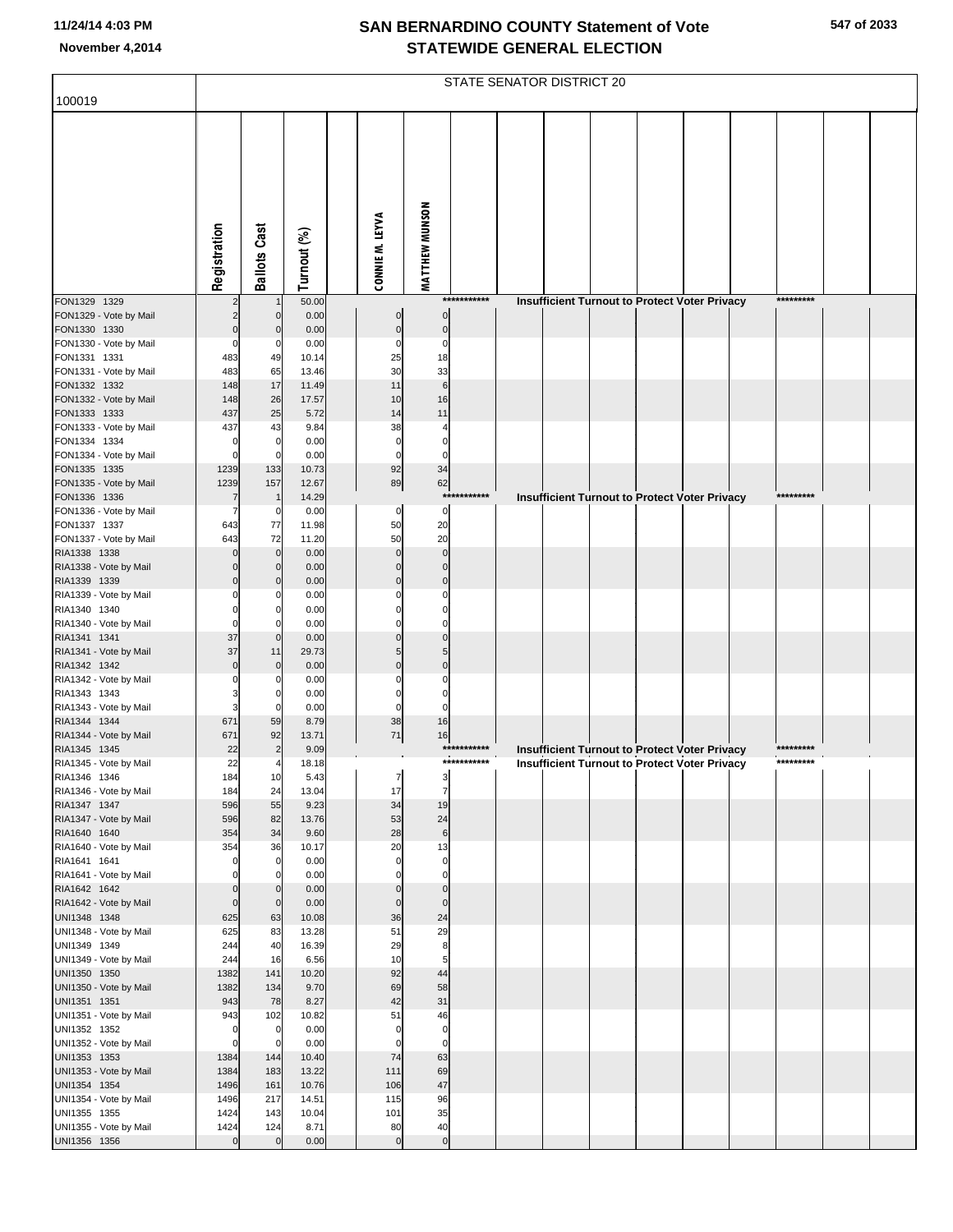| 100019                                 |                            |                            |                |                            |                            |              | STATE SENATOR DISTRICT 20 |  |                                                                                                              |           |  |
|----------------------------------------|----------------------------|----------------------------|----------------|----------------------------|----------------------------|--------------|---------------------------|--|--------------------------------------------------------------------------------------------------------------|-----------|--|
|                                        |                            |                            |                |                            |                            |              |                           |  |                                                                                                              |           |  |
|                                        |                            |                            |                |                            |                            |              |                           |  |                                                                                                              |           |  |
|                                        |                            |                            |                |                            |                            |              |                           |  |                                                                                                              |           |  |
|                                        |                            |                            |                |                            |                            |              |                           |  |                                                                                                              |           |  |
|                                        |                            |                            |                |                            |                            |              |                           |  |                                                                                                              |           |  |
|                                        |                            |                            |                |                            |                            |              |                           |  |                                                                                                              |           |  |
|                                        |                            |                            |                |                            |                            |              |                           |  |                                                                                                              |           |  |
|                                        | Registration               | <b>Ballots Cast</b>        | Turnout (%)    | CONNIE M. LEYVA            | <b>MATTHEW MUNSON</b>      |              |                           |  |                                                                                                              |           |  |
|                                        |                            |                            |                |                            |                            |              |                           |  |                                                                                                              |           |  |
| FON1329 1329<br>FON1329 - Vote by Mail | $\overline{2}$             | $\mathbf 0$                | 50.00<br>0.00  | $\mathbf 0$                | $\mathbf 0$                | ***********  |                           |  | <b>Insufficient Turnout to Protect Voter Privacy</b>                                                         | ********* |  |
| FON1330 1330                           | $\mathbf 0$                | $\mathbf 0$                | 0.00           | $\mathbf 0$                | $\pmb{0}$                  |              |                           |  |                                                                                                              |           |  |
| FON1330 - Vote by Mail                 | $\mathbf 0$                | 0                          | 0.00           | $\Omega$                   | $\mathbf 0$                |              |                           |  |                                                                                                              |           |  |
| FON1331 1331<br>FON1331 - Vote by Mail | 483<br>483                 | 49<br>65                   | 10.14<br>13.46 | 25<br>30                   | 18<br>33                   |              |                           |  |                                                                                                              |           |  |
| FON1332 1332                           | 148                        | 17                         | 11.49          | 11                         | $6\phantom{1}6$            |              |                           |  |                                                                                                              |           |  |
| FON1332 - Vote by Mail<br>FON1333 1333 | 148<br>437                 | 26<br>25                   | 17.57<br>5.72  | 10<br>14                   | 16<br>11                   |              |                           |  |                                                                                                              |           |  |
| FON1333 - Vote by Mail                 | 437                        | 43                         | 9.84           | 38                         |                            |              |                           |  |                                                                                                              |           |  |
| FON1334 1334                           | 0                          | 0                          | 0.00           | $\mathbf 0$                | $\mathbf 0$                |              |                           |  |                                                                                                              |           |  |
| FON1334 - Vote by Mail<br>FON1335 1335 | $\Omega$<br>1239           | 133                        | 0.00<br>10.73  | $\mathbf 0$<br>92          | $\mathbf 0$<br>34          |              |                           |  |                                                                                                              |           |  |
| FON1335 - Vote by Mail                 | 1239                       | 157                        | 12.67          | 89                         | 62                         |              |                           |  |                                                                                                              |           |  |
| FON1336 1336<br>FON1336 - Vote by Mail | 7<br>7                     | $\mathbf 1$<br>0           | 14.29<br>0.00  | 0                          | $\mathbf 0$                | ************ |                           |  | <b>Insufficient Turnout to Protect Voter Privacy</b>                                                         | ********* |  |
| FON1337 1337                           | 643                        | 77                         | 11.98          | 50                         | 20                         |              |                           |  |                                                                                                              |           |  |
| FON1337 - Vote by Mail                 | 643                        | 72                         | 11.20          | 50                         | 20                         |              |                           |  |                                                                                                              |           |  |
| RIA1338 1338<br>RIA1338 - Vote by Mail | $\mathbf 0$<br>$\Omega$    | $\mathbf 0$<br>$\Omega$    | 0.00<br>0.00   | $\mathbf{0}$<br>$\Omega$   | $\mathbf 0$<br>$\mathbf 0$ |              |                           |  |                                                                                                              |           |  |
| RIA1339 1339                           | $\mathbf 0$                | $\Omega$                   | 0.00           | $\mathbf 0$                | $\mathbf 0$                |              |                           |  |                                                                                                              |           |  |
| RIA1339 - Vote by Mail<br>RIA1340 1340 | $\Omega$                   |                            | 0.00<br>0.00   | O                          | O<br>$\Omega$              |              |                           |  |                                                                                                              |           |  |
| RIA1340 - Vote by Mail                 | $\Omega$                   |                            | 0.00           |                            | $\Omega$                   |              |                           |  |                                                                                                              |           |  |
| RIA1341 1341                           | 37                         | $\mathbf 0$                | 0.00           | $\Omega$                   | $\mathbf 0$                |              |                           |  |                                                                                                              |           |  |
| RIA1341 - Vote by Mail<br>RIA1342 1342 | 37<br>$\mathbf 0$          | 11<br>$\mathbf 0$          | 29.73<br>0.00  | 5<br>$\Omega$              | 5<br>$\mathbf 0$           |              |                           |  |                                                                                                              |           |  |
| RIA1342 - Vote by Mail                 | 0                          |                            | 0.00           |                            | 0                          |              |                           |  |                                                                                                              |           |  |
| RIA1343 1343<br>RIA1343 - Vote by Mail | 3                          | 0                          | 0.00<br>0.00   | 0<br>$\Omega$              | $\mathbf 0$<br>$\mathbf 0$ |              |                           |  |                                                                                                              |           |  |
| RIA1344 1344                           | 671                        | 59                         | 8.79           | 38                         | 16                         |              |                           |  |                                                                                                              |           |  |
| RIA1344 - Vote by Mail<br>RIA1345 1345 | 671<br>22                  | 92                         | 13.71<br>9.09  | 71                         | 16                         | ***********  |                           |  |                                                                                                              | ********* |  |
| RIA1345 - Vote by Mail                 | 22                         |                            | 18.18          |                            |                            | ***********  |                           |  | <b>Insufficient Turnout to Protect Voter Privacy</b><br><b>Insufficient Turnout to Protect Voter Privacy</b> | ********* |  |
| RIA1346 1346                           | 184                        | 10                         | 5.43           |                            |                            |              |                           |  |                                                                                                              |           |  |
| RIA1346 - Vote by Mail<br>RIA1347 1347 | 184<br>596                 | 24<br>55                   | 13.04<br>9.23  | 17<br>34                   | $\overline{7}$<br>19       |              |                           |  |                                                                                                              |           |  |
| RIA1347 - Vote by Mail                 | 596                        | 82                         | 13.76          | 53                         | 24                         |              |                           |  |                                                                                                              |           |  |
| RIA1640 1640<br>RIA1640 - Vote by Mail | 354<br>354                 | 34<br>36                   | 9.60<br>10.17  | 28<br>20                   | $\,6$<br>13                |              |                           |  |                                                                                                              |           |  |
| RIA1641 1641                           | $\mathbf 0$                | 0                          | 0.00           | $\mathbf 0$                | $\mathbf 0$                |              |                           |  |                                                                                                              |           |  |
| RIA1641 - Vote by Mail<br>RIA1642 1642 | $\Omega$<br>$\mathbf 0$    |                            | 0.00<br>0.00   | $\mathbf 0$<br>$\mathbf 0$ | $\mathbf 0$<br>$\mathbf 0$ |              |                           |  |                                                                                                              |           |  |
| RIA1642 - Vote by Mail                 | $\mathbf 0$                | $\mathbf 0$<br>$\mathbf 0$ | 0.00           | $\mathbf 0$                | $\mathbf 0$                |              |                           |  |                                                                                                              |           |  |
| UNI1348 1348                           | 625                        | 63                         | 10.08          | 36                         | 24                         |              |                           |  |                                                                                                              |           |  |
| UNI1348 - Vote by Mail<br>UNI1349 1349 | 625<br>244                 | 83<br>40                   | 13.28<br>16.39 | 51<br>29                   | 29<br>8                    |              |                           |  |                                                                                                              |           |  |
| UNI1349 - Vote by Mail                 | 244                        | 16                         | 6.56           | 10                         | 5                          |              |                           |  |                                                                                                              |           |  |
| UNI1350 1350<br>UNI1350 - Vote by Mail | 1382<br>1382               | 141<br>134                 | 10.20<br>9.70  | 92<br>69                   | 44<br>58                   |              |                           |  |                                                                                                              |           |  |
| UNI1351 1351                           | 943                        | 78                         | 8.27           | 42                         | 31                         |              |                           |  |                                                                                                              |           |  |
| UNI1351 - Vote by Mail                 | 943                        | 102                        | 10.82          | 51                         | 46                         |              |                           |  |                                                                                                              |           |  |
| UNI1352 1352<br>UNI1352 - Vote by Mail | $\mathbf 0$<br>$\mathbf 0$ | $\mathbf 0$<br>$\Omega$    | 0.00<br>0.00   | $\mathbf 0$<br>$\mathbf 0$ | $\pmb{0}$<br>$\mathbf 0$   |              |                           |  |                                                                                                              |           |  |
| UNI1353 1353                           | 1384                       | 144                        | 10.40          | 74                         | 63                         |              |                           |  |                                                                                                              |           |  |
| UNI1353 - Vote by Mail<br>UNI1354 1354 | 1384<br>1496               | 183<br>161                 | 13.22<br>10.76 | 111<br>106                 | 69<br>47                   |              |                           |  |                                                                                                              |           |  |
| UNI1354 - Vote by Mail                 | 1496                       | 217                        | 14.51          | 115                        | 96                         |              |                           |  |                                                                                                              |           |  |
| UNI1355 1355                           | 1424                       | 143                        | 10.04          | 101                        | 35                         |              |                           |  |                                                                                                              |           |  |
| UNI1355 - Vote by Mail<br>UNI1356 1356 | 1424<br>$\overline{0}$     | 124<br>$\mathbf{0}$        | 8.71<br>0.00   | 80<br>$\mathbf 0$          | 40<br>$\pmb{0}$            |              |                           |  |                                                                                                              |           |  |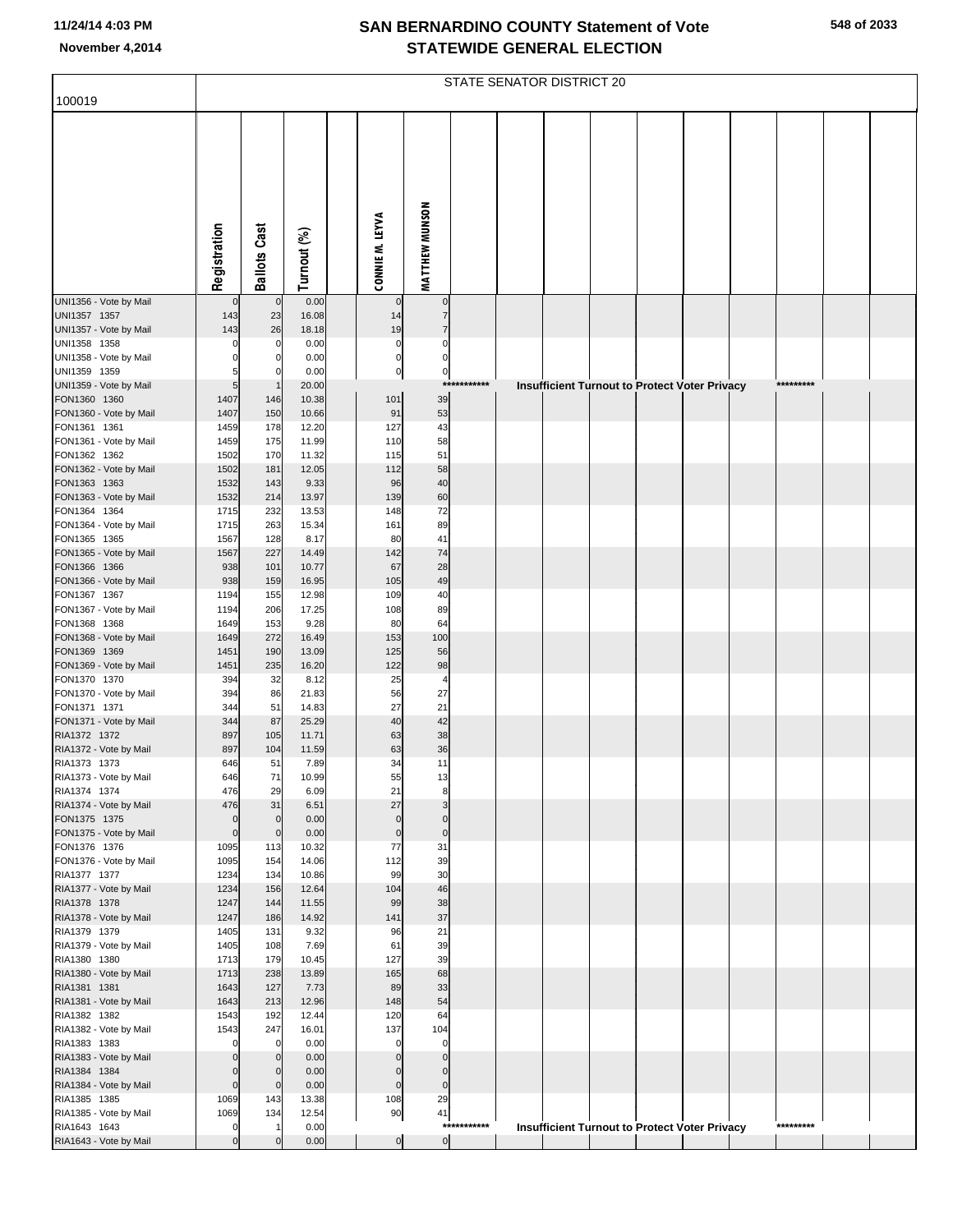|                                        | STATE SENATOR DISTRICT 20 |                     |                |  |                        |                               |             |  |  |  |  |                                               |           |  |
|----------------------------------------|---------------------------|---------------------|----------------|--|------------------------|-------------------------------|-------------|--|--|--|--|-----------------------------------------------|-----------|--|
| 100019                                 |                           |                     |                |  |                        |                               |             |  |  |  |  |                                               |           |  |
|                                        | Registration              | <b>Ballots Cast</b> | Turnout (%)    |  | CONNIE M. LEYVA        | MATTHEW MUNSON                |             |  |  |  |  |                                               |           |  |
|                                        |                           |                     |                |  |                        |                               |             |  |  |  |  |                                               |           |  |
|                                        |                           |                     |                |  |                        |                               |             |  |  |  |  |                                               |           |  |
| UNI1356 - Vote by Mail<br>UNI1357 1357 | $\mathbf 0$<br>143        | $\mathbf{0}$<br>23  | 0.00<br>16.08  |  | $\mathbf{0}$<br>14     | $\mathbf 0$<br>$\overline{7}$ |             |  |  |  |  |                                               |           |  |
| UNI1357 - Vote by Mail                 | 143                       | 26                  | 18.18          |  | 19                     | $\overline{7}$                |             |  |  |  |  |                                               |           |  |
| UNI1358 1358                           | $\Omega$                  | 0                   | 0.00           |  | $\pmb{0}$              | $\Omega$                      |             |  |  |  |  |                                               |           |  |
| UNI1358 - Vote by Mail<br>UNI1359 1359 |                           | 0<br>$\Omega$       | 0.00<br>0.00   |  | $\mathbf 0$<br>$\bf 0$ | $\mathbf 0$<br>$\mathbf 0$    |             |  |  |  |  |                                               |           |  |
| UNI1359 - Vote by Mail                 | 5                         |                     | 20.00          |  |                        |                               | *********** |  |  |  |  | Insufficient Turnout to Protect Voter Privacy | ********* |  |
| FON1360 1360                           | 1407                      | 146                 | 10.38          |  | 101                    | 39                            |             |  |  |  |  |                                               |           |  |
| FON1360 - Vote by Mail                 | 1407                      | 150                 | 10.66          |  | 91                     | 53                            |             |  |  |  |  |                                               |           |  |
| FON1361 1361<br>FON1361 - Vote by Mail | 1459<br>1459              | 178<br>175          | 12.20<br>11.99 |  | 127<br>110             | 43<br>58                      |             |  |  |  |  |                                               |           |  |
| FON1362 1362                           | 1502                      | 170                 | 11.32          |  | 115                    | 51                            |             |  |  |  |  |                                               |           |  |
| FON1362 - Vote by Mail                 | 1502                      | 181                 | 12.05          |  | 112                    | 58                            |             |  |  |  |  |                                               |           |  |
| FON1363 1363                           | 1532                      | 143                 | 9.33           |  | 96                     | 40                            |             |  |  |  |  |                                               |           |  |
| FON1363 - Vote by Mail<br>FON1364 1364 | 1532<br>1715              | 214<br>232          | 13.97<br>13.53 |  | 139<br>148             | 60<br>72                      |             |  |  |  |  |                                               |           |  |
| FON1364 - Vote by Mail                 | 1715                      | 263                 | 15.34          |  | 161                    | 89                            |             |  |  |  |  |                                               |           |  |
| FON1365 1365                           | 1567                      | 128                 | 8.17           |  | 80                     | 41                            |             |  |  |  |  |                                               |           |  |
| FON1365 - Vote by Mail                 | 1567                      | 227                 | 14.49          |  | 142                    | 74                            |             |  |  |  |  |                                               |           |  |
| FON1366 1366<br>FON1366 - Vote by Mail | 938<br>938                | 101<br>159          | 10.77<br>16.95 |  | 67<br>105              | 28<br>49                      |             |  |  |  |  |                                               |           |  |
| FON1367 1367                           | 1194                      | 155                 | 12.98          |  | 109                    | 40                            |             |  |  |  |  |                                               |           |  |
| FON1367 - Vote by Mail                 | 1194                      | 206                 | 17.25          |  | 108                    | 89                            |             |  |  |  |  |                                               |           |  |
| FON1368 1368                           | 1649                      | 153                 | 9.28           |  | 80                     | 64                            |             |  |  |  |  |                                               |           |  |
| FON1368 - Vote by Mail<br>FON1369 1369 | 1649<br>1451              | 272<br>190          | 16.49<br>13.09 |  | 153<br>125             | 100<br>56                     |             |  |  |  |  |                                               |           |  |
| FON1369 - Vote by Mail                 | 1451                      | 235                 | 16.20          |  | 122                    | 98                            |             |  |  |  |  |                                               |           |  |
| FON1370 1370                           | 394                       | 32                  | 8.12           |  | 25                     | $\overline{\mathcal{L}}$      |             |  |  |  |  |                                               |           |  |
| FON1370 - Vote by Mail                 | 394                       | 86                  | 21.83          |  | 56                     | 27                            |             |  |  |  |  |                                               |           |  |
| FON1371 1371<br>FON1371 - Vote by Mail | 344<br>344                | 51<br>87            | 14.83<br>25.29 |  | 27<br>40               | 21<br>42                      |             |  |  |  |  |                                               |           |  |
| RIA1372 1372                           | 897                       | 105                 | 11.71          |  | 63                     | 38                            |             |  |  |  |  |                                               |           |  |
| RIA1372 - Vote by Mail                 | 897                       | 104                 | 11.59          |  | 63                     | 36                            |             |  |  |  |  |                                               |           |  |
| RIA1373 1373                           | 646                       | 51                  | 7.89           |  | 34                     | 11                            |             |  |  |  |  |                                               |           |  |
| RIA1373 - Vote by Mail<br>RIA1374 1374 | 646<br>476                | 71<br>29            | 10.99<br>6.09  |  | 55<br>21               | 13<br>8                       |             |  |  |  |  |                                               |           |  |
| RIA1374 - Vote by Mail                 | 476                       | 31                  | 6.51           |  | 27                     | 3                             |             |  |  |  |  |                                               |           |  |
| FON1375 1375                           | $\mathbf 0$               | $\mathbf{0}$        | 0.00           |  | $\mathbf 0$            | $\mathbf 0$                   |             |  |  |  |  |                                               |           |  |
| FON1375 - Vote by Mail<br>FON1376 1376 | $\mathbf 0$<br>1095       | $\mathbf{0}$<br>113 | 0.00<br>10.32  |  | $\mathbf 0$<br>77      | $\mathbf 0$<br>31             |             |  |  |  |  |                                               |           |  |
| FON1376 - Vote by Mail                 | 1095                      | 154                 | 14.06          |  | 112                    | 39                            |             |  |  |  |  |                                               |           |  |
| RIA1377 1377                           | 1234                      | 134                 | 10.86          |  | 99                     | 30                            |             |  |  |  |  |                                               |           |  |
| RIA1377 - Vote by Mail                 | 1234                      | 156                 | 12.64          |  | 104                    | 46                            |             |  |  |  |  |                                               |           |  |
| RIA1378 1378<br>RIA1378 - Vote by Mail | 1247<br>1247              | 144<br>186          | 11.55<br>14.92 |  | 99<br>141              | 38<br>37                      |             |  |  |  |  |                                               |           |  |
| RIA1379 1379                           | 1405                      | 131                 | 9.32           |  | 96                     | 21                            |             |  |  |  |  |                                               |           |  |
| RIA1379 - Vote by Mail                 | 1405                      | 108                 | 7.69           |  | 61                     | 39                            |             |  |  |  |  |                                               |           |  |
| RIA1380 1380                           | 1713                      | 179                 | 10.45          |  | 127                    | 39                            |             |  |  |  |  |                                               |           |  |
| RIA1380 - Vote by Mail<br>RIA1381 1381 | 1713<br>1643              | 238<br>127          | 13.89<br>7.73  |  | 165<br>89              | 68<br>33                      |             |  |  |  |  |                                               |           |  |
| RIA1381 - Vote by Mail                 | 1643                      | 213                 | 12.96          |  | 148                    | 54                            |             |  |  |  |  |                                               |           |  |
| RIA1382 1382                           | 1543                      | 192                 | 12.44          |  | 120                    | 64                            |             |  |  |  |  |                                               |           |  |
| RIA1382 - Vote by Mail                 | 1543<br>$\Omega$          | 247                 | 16.01          |  | 137<br>$\epsilon$      | 104<br>$\mathbf 0$            |             |  |  |  |  |                                               |           |  |
| RIA1383 1383<br>RIA1383 - Vote by Mail | $\Omega$                  | 0<br>$\mathbf 0$    | 0.00<br>0.00   |  | C                      | $\mathbf{0}$                  |             |  |  |  |  |                                               |           |  |
| RIA1384 1384                           | $\Omega$                  | $\mathbf 0$         | 0.00           |  | C                      | $\mathbf{0}$                  |             |  |  |  |  |                                               |           |  |
| RIA1384 - Vote by Mail                 | $\mathbf 0$               | $\mathbf 0$         | 0.00           |  | $\mathbf 0$            | $\mathbf 0$                   |             |  |  |  |  |                                               |           |  |
| RIA1385 1385                           | 1069                      | 143                 | 13.38          |  | 108                    | 29                            |             |  |  |  |  |                                               |           |  |
| RIA1385 - Vote by Mail<br>RIA1643 1643 | 1069<br>$\mathbf 0$       | 134                 | 12.54<br>0.00  |  | 90                     | 41                            | *********** |  |  |  |  | Insufficient Turnout to Protect Voter Privacy | ********* |  |
| RIA1643 - Vote by Mail                 | $\Omega$                  |                     | 0.00           |  | $\pmb{0}$              | $\overline{0}$                |             |  |  |  |  |                                               |           |  |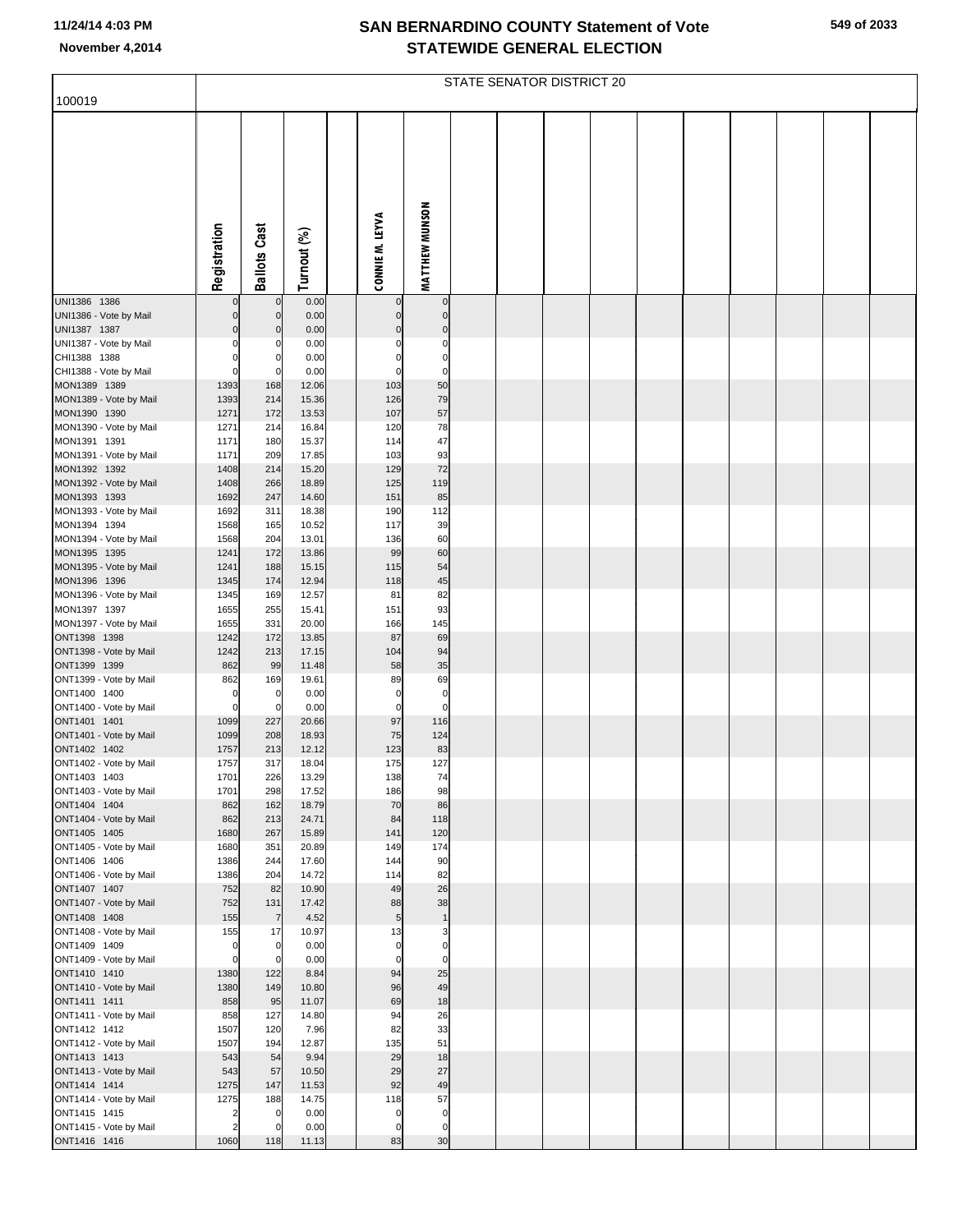| 100019                                 | STATE SENATOR DISTRICT 20        |                            |                |  |                  |                          |  |  |  |  |  |  |  |  |  |
|----------------------------------------|----------------------------------|----------------------------|----------------|--|------------------|--------------------------|--|--|--|--|--|--|--|--|--|
|                                        |                                  |                            |                |  |                  |                          |  |  |  |  |  |  |  |  |  |
|                                        |                                  |                            |                |  |                  |                          |  |  |  |  |  |  |  |  |  |
|                                        | Registration                     | <b>Ballots Cast</b>        | Turnout (%)    |  | CONNIE M. LEYVA  | <b>MATTHEW MUNSON</b>    |  |  |  |  |  |  |  |  |  |
| UNI1386 1386                           | $\Omega$                         | $\pmb{0}$                  | 0.00           |  | $\mathbf 0$      | $\pmb{0}$                |  |  |  |  |  |  |  |  |  |
| UNI1386 - Vote by Mail                 |                                  | $\mathbf 0$                | 0.00           |  | $\mathbf 0$      | $\pmb{0}$                |  |  |  |  |  |  |  |  |  |
| UNI1387 1387                           | O                                | $\Omega$                   | 0.00           |  | $\Omega$         | $\pmb{0}$                |  |  |  |  |  |  |  |  |  |
| UNI1387 - Vote by Mail                 | $\Omega$<br>ŋ                    | C<br>$\mathbf 0$           | 0.00           |  | 0<br>$\Omega$    | $\pmb{0}$<br>$\mathbf 0$ |  |  |  |  |  |  |  |  |  |
| CHI1388 1388<br>CHI1388 - Vote by Mail | 0                                | $\mathbf 0$                | 0.00<br>0.00   |  | $\Omega$         | $\mathbf 0$              |  |  |  |  |  |  |  |  |  |
| MON1389 1389                           | 1393                             | 168                        | 12.06          |  | 103              | 50                       |  |  |  |  |  |  |  |  |  |
| MON1389 - Vote by Mail                 | 1393                             | 214                        | 15.36          |  | 126              | 79                       |  |  |  |  |  |  |  |  |  |
| MON1390 1390<br>MON1390 - Vote by Mail | 1271<br>1271                     | 172<br>214                 | 13.53<br>16.84 |  | 107<br>120       | 57<br>78                 |  |  |  |  |  |  |  |  |  |
| MON1391 1391                           | 1171                             | 180                        | 15.37          |  | 114              | 47                       |  |  |  |  |  |  |  |  |  |
| MON1391 - Vote by Mail                 | 1171                             | 209                        | 17.85          |  | 103              | 93                       |  |  |  |  |  |  |  |  |  |
| MON1392 1392                           | 1408                             | 214                        | 15.20          |  | 129              | 72                       |  |  |  |  |  |  |  |  |  |
| MON1392 - Vote by Mail<br>MON1393 1393 | 1408<br>1692                     | 266<br>247                 | 18.89<br>14.60 |  | 125<br>151       | 119<br>85                |  |  |  |  |  |  |  |  |  |
| MON1393 - Vote by Mail                 | 1692                             | 311                        | 18.38          |  | 190              | 112                      |  |  |  |  |  |  |  |  |  |
| MON1394 1394                           | 1568                             | 165                        | 10.52          |  | 117              | 39                       |  |  |  |  |  |  |  |  |  |
| MON1394 - Vote by Mail                 | 1568                             | 204                        | 13.01          |  | 136              | 60                       |  |  |  |  |  |  |  |  |  |
| MON1395 1395<br>MON1395 - Vote by Mail | 1241<br>1241                     | 172<br>188                 | 13.86<br>15.15 |  | 99<br>115        | 60<br>54                 |  |  |  |  |  |  |  |  |  |
| MON1396 1396                           | 1345                             | 174                        | 12.94          |  | 118              | 45                       |  |  |  |  |  |  |  |  |  |
| MON1396 - Vote by Mail                 | 1345                             | 169                        | 12.57          |  | 81               | 82                       |  |  |  |  |  |  |  |  |  |
| MON1397 1397<br>MON1397 - Vote by Mail | 1655<br>1655                     | 255<br>331                 | 15.41<br>20.00 |  | 151<br>166       | 93<br>145                |  |  |  |  |  |  |  |  |  |
| ONT1398 1398                           | 1242                             | 172                        | 13.85          |  | 87               | 69                       |  |  |  |  |  |  |  |  |  |
| ONT1398 - Vote by Mail                 | 1242                             | 213                        | 17.15          |  | 104              | 94                       |  |  |  |  |  |  |  |  |  |
| ONT1399 1399                           | 862                              | 99                         | 11.48          |  | 58               | 35                       |  |  |  |  |  |  |  |  |  |
| ONT1399 - Vote by Mail<br>ONT1400 1400 | 862<br>0                         | 169<br>0                   | 19.61<br>0.00  |  | 89<br>0          | 69<br>$\pmb{0}$          |  |  |  |  |  |  |  |  |  |
| ONT1400 - Vote by Mail                 | $\mathbf 0$                      | $\mathbf 0$                | 0.00           |  | $\mathbf 0$      | $\mathbf 0$              |  |  |  |  |  |  |  |  |  |
| ONT1401 1401                           | 1099                             | 227                        | 20.66          |  | 97               | 116                      |  |  |  |  |  |  |  |  |  |
| ONT1401 - Vote by Mail<br>ONT1402 1402 | 1099<br>1757                     | 208<br>213                 | 18.93<br>12.12 |  | 75<br>123        | 124<br>83                |  |  |  |  |  |  |  |  |  |
| ONT1402 - Vote by Mail                 | 1757                             | 317                        | 18.04          |  | 175              | 127                      |  |  |  |  |  |  |  |  |  |
| ONT1403 1403                           | 1701                             | 226                        | 13.29          |  | 138              | 74                       |  |  |  |  |  |  |  |  |  |
| ONT1403 - Vote by Mail                 | 1701                             | 298                        | 17.52          |  | 186              | 98                       |  |  |  |  |  |  |  |  |  |
| ONT1404 1404<br>ONT1404 - Vote by Mail | 862<br>862                       | 162<br>213                 | 18.79<br>24.71 |  | 70<br>84         | 86<br>118                |  |  |  |  |  |  |  |  |  |
| ONT1405 1405                           | 1680                             | 267                        | 15.89          |  | 141              | 120                      |  |  |  |  |  |  |  |  |  |
| ONT1405 - Vote by Mail                 | 1680                             | 351                        | 20.89          |  | 149              | 174                      |  |  |  |  |  |  |  |  |  |
| ONT1406 1406<br>ONT1406 - Vote by Mail | 1386<br>1386                     | 244<br>204                 | 17.60<br>14.72 |  | 144<br>114       | 90<br>82                 |  |  |  |  |  |  |  |  |  |
| ONT1407 1407                           | 752                              | 82                         | 10.90          |  | 49               | 26                       |  |  |  |  |  |  |  |  |  |
| ONT1407 - Vote by Mail                 | 752                              | 131                        | 17.42          |  | 88               | 38                       |  |  |  |  |  |  |  |  |  |
| ONT1408 1408<br>ONT1408 - Vote by Mail | 155<br>155                       | $\overline{7}$<br>17       | 4.52<br>10.97  |  | $\sqrt{5}$<br>13 | $\mathbf{1}$<br>3        |  |  |  |  |  |  |  |  |  |
| ONT1409 1409                           | 0                                | 0                          | 0.00           |  | 0                | $\pmb{0}$                |  |  |  |  |  |  |  |  |  |
| ONT1409 - Vote by Mail                 | $\mathbf 0$                      | $\mathbf 0$                | 0.00           |  | $\Omega$         | $\mathbf 0$              |  |  |  |  |  |  |  |  |  |
| ONT1410 1410                           | 1380                             | 122                        | 8.84           |  | 94               | 25                       |  |  |  |  |  |  |  |  |  |
| ONT1410 - Vote by Mail<br>ONT1411 1411 | 1380<br>858                      | 149<br>95                  | 10.80<br>11.07 |  | 96<br>69         | 49<br>18                 |  |  |  |  |  |  |  |  |  |
| ONT1411 - Vote by Mail                 | 858                              | 127                        | 14.80          |  | 94               | 26                       |  |  |  |  |  |  |  |  |  |
| ONT1412 1412                           | 1507                             | 120                        | 7.96           |  | 82               | 33                       |  |  |  |  |  |  |  |  |  |
| ONT1412 - Vote by Mail                 | 1507                             | 194<br>54                  | 12.87<br>9.94  |  | 135<br>29        | 51<br>18                 |  |  |  |  |  |  |  |  |  |
| ONT1413 1413<br>ONT1413 - Vote by Mail | 543<br>543                       | 57                         | 10.50          |  | 29               | 27                       |  |  |  |  |  |  |  |  |  |
| ONT1414 1414                           | 1275                             | 147                        | 11.53          |  | 92               | 49                       |  |  |  |  |  |  |  |  |  |
| ONT1414 - Vote by Mail                 | 1275                             | 188                        | 14.75          |  | 118              | 57                       |  |  |  |  |  |  |  |  |  |
| ONT1415 1415<br>ONT1415 - Vote by Mail | $\overline{2}$<br>$\overline{2}$ | $\mathbf 0$<br>$\mathbf 0$ | 0.00<br>0.00   |  | 0<br>0           | $\pmb{0}$<br>$\pmb{0}$   |  |  |  |  |  |  |  |  |  |
| ONT1416 1416                           | 1060                             | 118                        | 11.13          |  | 83               | 30                       |  |  |  |  |  |  |  |  |  |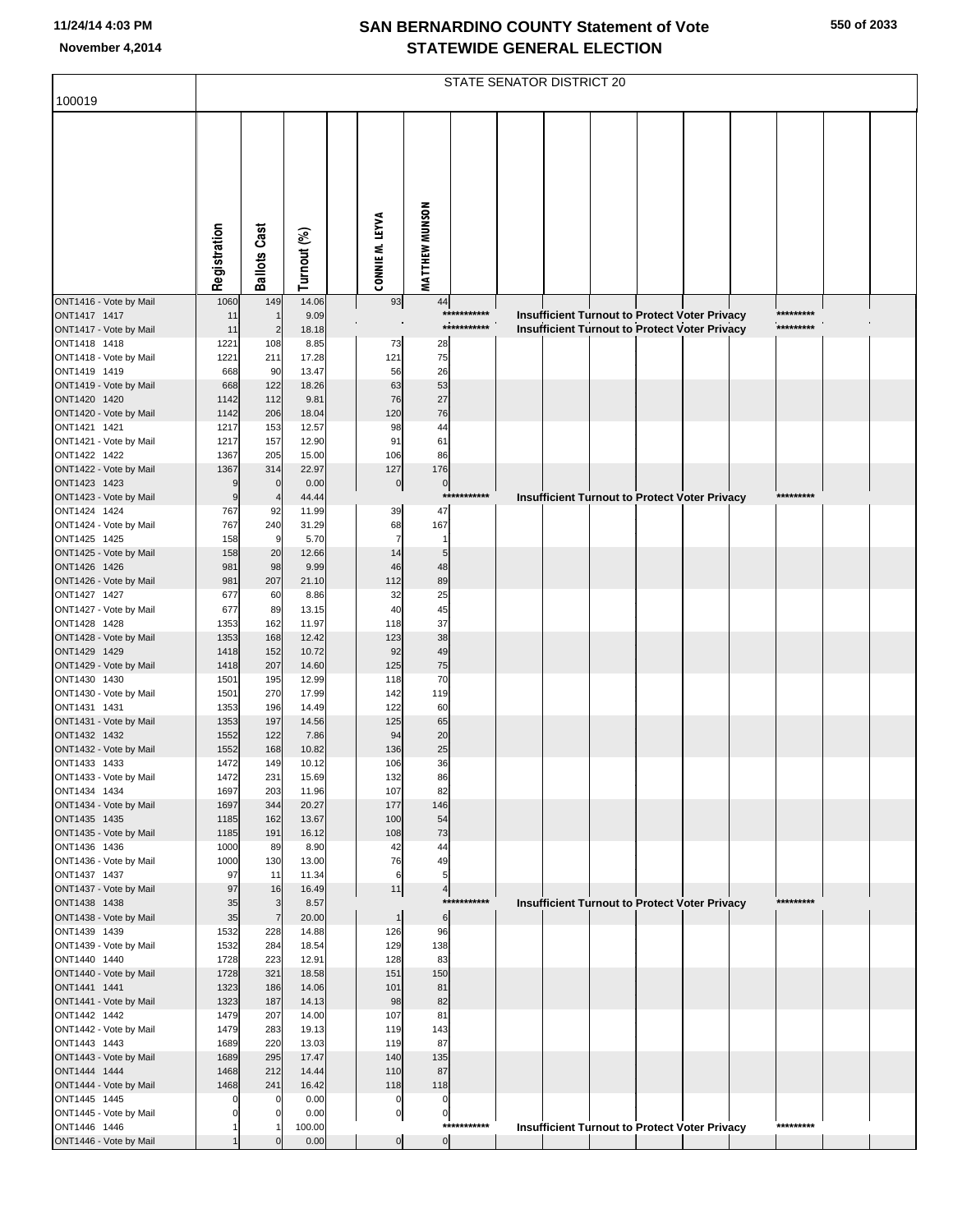|                                        | STATE SENATOR DISTRICT 20 |                       |                |                 |                      |                       |             |  |  |  |  |                                                      |  |           |  |
|----------------------------------------|---------------------------|-----------------------|----------------|-----------------|----------------------|-----------------------|-------------|--|--|--|--|------------------------------------------------------|--|-----------|--|
| 100019                                 |                           |                       |                |                 |                      |                       |             |  |  |  |  |                                                      |  |           |  |
|                                        |                           |                       |                |                 |                      |                       |             |  |  |  |  |                                                      |  |           |  |
|                                        |                           |                       |                |                 |                      |                       |             |  |  |  |  |                                                      |  |           |  |
|                                        | Registration              | <b>Ballots Cast</b>   | Turnout (%)    | CONNIE M. LEYVA |                      | <b>MATTHEW MUNSON</b> |             |  |  |  |  |                                                      |  |           |  |
| ONT1416 - Vote by Mail                 | 1060                      | 149                   | 14.06          |                 | 93                   | 44                    |             |  |  |  |  |                                                      |  |           |  |
| ONT1417 1417                           | 11                        |                       | 9.09           |                 |                      |                       | *********** |  |  |  |  | Insufficient Turnout to Protect Voter Privacy        |  | ********* |  |
| ONT1417 - Vote by Mail<br>ONT1418 1418 | 11<br>1221                | $\overline{2}$<br>108 | 18.18<br>8.85  |                 | 73                   | 28                    | *********** |  |  |  |  | <b>Insufficient Turnout to Protect Voter Privacy</b> |  | ********* |  |
| ONT1418 - Vote by Mail                 | 1221                      | 211                   | 17.28          |                 | 121                  | 75                    |             |  |  |  |  |                                                      |  |           |  |
| ONT1419 1419                           | 668                       | 90                    | 13.47          |                 | 56                   | 26                    |             |  |  |  |  |                                                      |  |           |  |
| ONT1419 - Vote by Mail<br>ONT1420 1420 | 668<br>1142               | 122<br>112            | 18.26<br>9.81  |                 | 63<br>76             | 53<br>27              |             |  |  |  |  |                                                      |  |           |  |
| ONT1420 - Vote by Mail                 | 1142                      | 206                   | 18.04          |                 | 120                  | 76                    |             |  |  |  |  |                                                      |  |           |  |
| ONT1421 1421                           | 1217                      | 153                   | 12.57          |                 | 98                   | 44                    |             |  |  |  |  |                                                      |  |           |  |
| ONT1421 - Vote by Mail                 | 1217                      | 157                   | 12.90          |                 | 91                   | 61                    |             |  |  |  |  |                                                      |  |           |  |
| ONT1422 1422<br>ONT1422 - Vote by Mail | 1367<br>1367              | 205<br>314            | 15.00<br>22.97 |                 | 106<br>127           | 86<br>176             |             |  |  |  |  |                                                      |  |           |  |
| ONT1423 1423                           | 9                         | $\mathbf 0$           | 0.00           |                 | $\pmb{0}$            | $\overline{0}$        |             |  |  |  |  |                                                      |  |           |  |
| ONT1423 - Vote by Mail                 | $\boldsymbol{9}$          | $\overline{4}$        | 44.44          |                 |                      | $***$                 | ********    |  |  |  |  | <b>Insufficient Turnout to Protect Voter Privacy</b> |  | ********* |  |
| ONT1424 1424                           | 767                       | 92<br>240             | 11.99          |                 | 39                   | 47<br>167             |             |  |  |  |  |                                                      |  |           |  |
| ONT1424 - Vote by Mail<br>ONT1425 1425 | 767<br>158                | 9                     | 31.29<br>5.70  |                 | 68<br>$\overline{7}$ | $\mathbf{1}$          |             |  |  |  |  |                                                      |  |           |  |
| ONT1425 - Vote by Mail                 | 158                       | 20                    | 12.66          |                 | 14                   | 5                     |             |  |  |  |  |                                                      |  |           |  |
| ONT1426 1426                           | 981                       | 98                    | 9.99           |                 | 46                   | 48                    |             |  |  |  |  |                                                      |  |           |  |
| ONT1426 - Vote by Mail<br>ONT1427 1427 | 981<br>677                | 207<br>60             | 21.10<br>8.86  |                 | 112<br>32            | 89<br>25              |             |  |  |  |  |                                                      |  |           |  |
| ONT1427 - Vote by Mail                 | 677                       | 89                    | 13.15          |                 | 40                   | 45                    |             |  |  |  |  |                                                      |  |           |  |
| ONT1428 1428                           | 1353                      | 162                   | 11.97          |                 | 118                  | 37                    |             |  |  |  |  |                                                      |  |           |  |
| ONT1428 - Vote by Mail                 | 1353                      | 168                   | 12.42          |                 | 123                  | 38                    |             |  |  |  |  |                                                      |  |           |  |
| ONT1429 1429<br>ONT1429 - Vote by Mail | 1418<br>1418              | 152<br>207            | 10.72<br>14.60 |                 | 92<br>125            | 49<br>75              |             |  |  |  |  |                                                      |  |           |  |
| ONT1430 1430                           | 1501                      | 195                   | 12.99          |                 | 118                  | 70                    |             |  |  |  |  |                                                      |  |           |  |
| ONT1430 - Vote by Mail                 | 1501                      | 270                   | 17.99          |                 | 142                  | 119                   |             |  |  |  |  |                                                      |  |           |  |
| ONT1431 1431<br>ONT1431 - Vote by Mail | 1353<br>1353              | 196<br>197            | 14.49<br>14.56 |                 | 122<br>125           | 60<br>65              |             |  |  |  |  |                                                      |  |           |  |
| ONT1432 1432                           | 1552                      | 122                   | 7.86           |                 | 94                   | 20                    |             |  |  |  |  |                                                      |  |           |  |
| ONT1432 - Vote by Mail                 | 1552                      | 168                   | 10.82          |                 | 136                  | 25                    |             |  |  |  |  |                                                      |  |           |  |
| ONT1433 1433<br>ONT1433 - Vote by Mail | 1472<br>1472              | 149<br>231            | 10.12<br>15.69 |                 | 106<br>132           | 36<br>86              |             |  |  |  |  |                                                      |  |           |  |
| ONT1434 1434                           | 1697                      | 203                   | 11.96          |                 | 107                  | 82                    |             |  |  |  |  |                                                      |  |           |  |
| ONT1434 - Vote by Mail                 | 1697                      | 344                   | 20.27          |                 | 177                  | 146                   |             |  |  |  |  |                                                      |  |           |  |
| ONT1435 1435                           | 1185                      | 162                   | 13.67          |                 | 100                  | 54                    |             |  |  |  |  |                                                      |  |           |  |
| ONT1435 - Vote by Mail<br>ONT1436 1436 | 1185<br>1000              | 191<br>89             | 16.12<br>8.90  |                 | 108<br>42            | 73<br>44              |             |  |  |  |  |                                                      |  |           |  |
| ONT1436 - Vote by Mail                 | 1000                      | 130                   | 13.00          |                 | 76                   | 49                    |             |  |  |  |  |                                                      |  |           |  |
| ONT1437 1437                           | 97                        | 11                    | 11.34          |                 | 6                    | 5                     |             |  |  |  |  |                                                      |  |           |  |
| ONT1437 - Vote by Mail<br>ONT1438 1438 | 97<br>35                  | 16<br>3               | 16.49<br>8.57  |                 | 11                   | $\overline{4}$        | *********** |  |  |  |  |                                                      |  | ********* |  |
| ONT1438 - Vote by Mail                 | 35                        | $\overline{7}$        | 20.00          |                 | $\mathbf{1}$         | 6                     |             |  |  |  |  | Insufficient Turnout to Protect Voter Privacy        |  |           |  |
| ONT1439 1439                           | 1532                      | 228                   | 14.88          |                 | 126                  | 96                    |             |  |  |  |  |                                                      |  |           |  |
| ONT1439 - Vote by Mail                 | 1532                      | 284                   | 18.54          |                 | 129                  | 138                   |             |  |  |  |  |                                                      |  |           |  |
| ONT1440 1440<br>ONT1440 - Vote by Mail | 1728<br>1728              | 223<br>321            | 12.91<br>18.58 |                 | 128<br>151           | 83<br>150             |             |  |  |  |  |                                                      |  |           |  |
| ONT1441 1441                           | 1323                      | 186                   | 14.06          |                 | 101                  | 81                    |             |  |  |  |  |                                                      |  |           |  |
| ONT1441 - Vote by Mail                 | 1323                      | 187                   | 14.13          |                 | 98                   | 82                    |             |  |  |  |  |                                                      |  |           |  |
| ONT1442 1442                           | 1479<br>1479              | 207<br>283            | 14.00          |                 | 107                  | 81                    |             |  |  |  |  |                                                      |  |           |  |
| ONT1442 - Vote by Mail<br>ONT1443 1443 | 1689                      | 220                   | 19.13<br>13.03 |                 | 119<br>119           | 143<br>87             |             |  |  |  |  |                                                      |  |           |  |
| ONT1443 - Vote by Mail                 | 1689                      | 295                   | 17.47          |                 | 140                  | 135                   |             |  |  |  |  |                                                      |  |           |  |
| ONT1444 1444                           | 1468                      | 212                   | 14.44          |                 | 110                  | 87                    |             |  |  |  |  |                                                      |  |           |  |
| ONT1444 - Vote by Mail<br>ONT1445 1445 | 1468<br>0                 | 241                   | 16.42<br>0.00  |                 | 118<br>C             | 118<br>$\mathbf 0$    |             |  |  |  |  |                                                      |  |           |  |
| ONT1445 - Vote by Mail                 | $\mathbf 0$               |                       | 0.00           |                 | $\pmb{0}$            | $\mathbf 0$           |             |  |  |  |  |                                                      |  |           |  |
| ONT1446 1446                           |                           |                       | 100.00         |                 |                      | ***                   | ********    |  |  |  |  | <b>Insufficient Turnout to Protect Voter Privacy</b> |  | ********* |  |
| ONT1446 - Vote by Mail                 |                           |                       | 0.00           |                 | $\overline{0}$       | $\overline{0}$        |             |  |  |  |  |                                                      |  |           |  |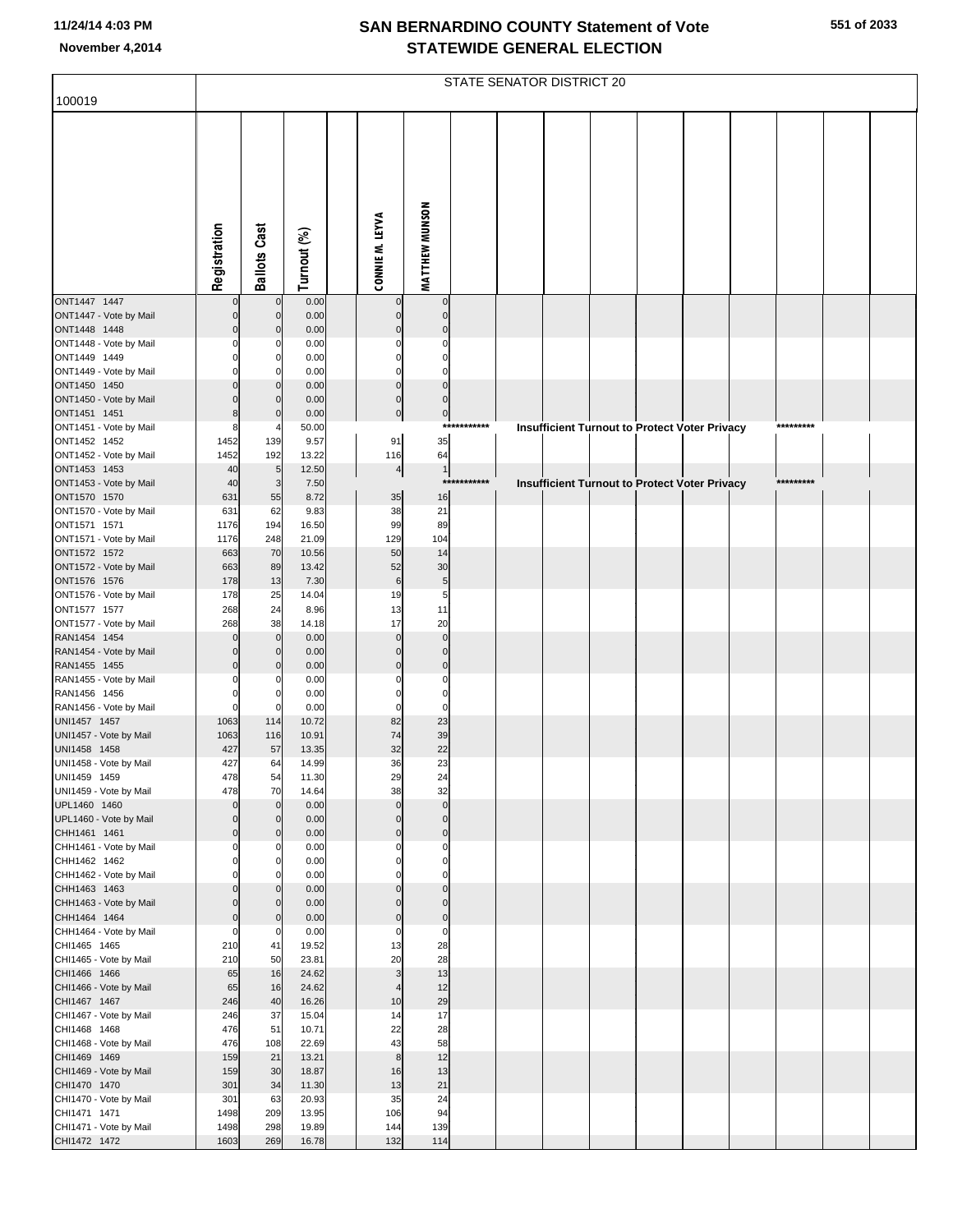| 100019                                 | STATE SENATOR DISTRICT 20 |                         |                |  |                         |                            |         |  |  |  |  |                                                      |           |  |
|----------------------------------------|---------------------------|-------------------------|----------------|--|-------------------------|----------------------------|---------|--|--|--|--|------------------------------------------------------|-----------|--|
|                                        | Registration              | <b>Ballots Cast</b>     | Turnout (%)    |  | CONNIE M. LEYVA         | <b>MATTHEW MUNSON</b>      |         |  |  |  |  |                                                      |           |  |
| ONT1447 1447<br>ONT1447 - Vote by Mail | $\Omega$                  | $\Omega$<br>$\mathbf 0$ | 0.00<br>0.00   |  | $\Omega$<br>$\Omega$    | $\mathbf 0$<br>$\mathbf 0$ |         |  |  |  |  |                                                      |           |  |
| ONT1448 1448                           |                           | $\mathbf 0$             | 0.00           |  |                         | $\Omega$                   |         |  |  |  |  |                                                      |           |  |
| ONT1448 - Vote by Mail<br>ONT1449 1449 |                           | 0                       | 0.00<br>0.00   |  |                         | O                          |         |  |  |  |  |                                                      |           |  |
| ONT1449 - Vote by Mail                 |                           | n                       | 0.00           |  | C                       | $\sqrt{ }$                 |         |  |  |  |  |                                                      |           |  |
| ONT1450 1450                           |                           | $\Omega$                | 0.00           |  | $\Omega$                | $\Omega$                   |         |  |  |  |  |                                                      |           |  |
| ONT1450 - Vote by Mail                 |                           | n                       | 0.00           |  | $\Omega$                | $\Omega$                   |         |  |  |  |  |                                                      |           |  |
| ONT1451 1451<br>ONT1451 - Vote by Mail |                           | $\Omega$                | 0.00<br>50.00  |  | $\pmb{0}$               | $\pmb{0}$<br>***           | ******* |  |  |  |  | Insufficient Turnout to Protect Voter Privacy        | ********* |  |
| ONT1452 1452                           | 1452                      | 139                     | 9.57           |  | 91                      | 35                         |         |  |  |  |  |                                                      |           |  |
| ONT1452 - Vote by Mail                 | 1452                      | 192                     | 13.22          |  | 116                     | 64                         |         |  |  |  |  |                                                      |           |  |
| ONT1453 1453<br>ONT1453 - Vote by Mail | 40<br>40                  | 5<br>3                  | 12.50<br>7.50  |  | $\overline{\mathbf{r}}$ | $\mathbf{1}$<br>***        | ******* |  |  |  |  | <b>Insufficient Turnout to Protect Voter Privacy</b> | ********* |  |
| ONT1570 1570                           | 631                       | 55                      | 8.72           |  | 35                      | 16                         |         |  |  |  |  |                                                      |           |  |
| ONT1570 - Vote by Mail                 | 631                       | 62                      | 9.83           |  | 38                      | 21                         |         |  |  |  |  |                                                      |           |  |
| ONT1571 1571                           | 1176                      | 194                     | 16.50          |  | 99                      | 89                         |         |  |  |  |  |                                                      |           |  |
| ONT1571 - Vote by Mail<br>ONT1572 1572 | 1176<br>663               | 248<br>70               | 21.09<br>10.56 |  | 129<br>50               | 104<br>14                  |         |  |  |  |  |                                                      |           |  |
| ONT1572 - Vote by Mail                 | 663                       | 89                      | 13.42          |  | 52                      | 30                         |         |  |  |  |  |                                                      |           |  |
| ONT1576 1576                           | 178                       | 13                      | 7.30           |  | $\,6$                   | 5                          |         |  |  |  |  |                                                      |           |  |
| ONT1576 - Vote by Mail                 | 178                       | 25                      | 14.04          |  | 19                      | 5                          |         |  |  |  |  |                                                      |           |  |
| ONT1577 1577<br>ONT1577 - Vote by Mail | 268<br>268                | 24<br>38                | 8.96<br>14.18  |  | 13<br>17                | 11<br>20                   |         |  |  |  |  |                                                      |           |  |
| RAN1454 1454                           |                           | $\mathbf 0$             | 0.00           |  | $\mathbf{0}$            | $\Omega$                   |         |  |  |  |  |                                                      |           |  |
| RAN1454 - Vote by Mail                 |                           | $\Omega$                | 0.00           |  | $\Omega$                | $\Omega$                   |         |  |  |  |  |                                                      |           |  |
| RAN1455 1455                           |                           | $\Omega$                | 0.00           |  | $\Omega$                | $\Omega$                   |         |  |  |  |  |                                                      |           |  |
| RAN1455 - Vote by Mail<br>RAN1456 1456 |                           | $\Omega$                | 0.00<br>0.00   |  |                         | C<br>$\Omega$              |         |  |  |  |  |                                                      |           |  |
| RAN1456 - Vote by Mail                 | $\Omega$                  | $\Omega$                | 0.00           |  | $\Omega$                | $\Omega$                   |         |  |  |  |  |                                                      |           |  |
| UNI1457 1457                           | 1063                      | 114                     | 10.72          |  | 82                      | 23                         |         |  |  |  |  |                                                      |           |  |
| UNI1457 - Vote by Mail                 | 1063                      | 116                     | 10.91          |  | 74                      | 39                         |         |  |  |  |  |                                                      |           |  |
| UNI1458 1458<br>UNI1458 - Vote by Mail | 427<br>427                | 57<br>64                | 13.35<br>14.99 |  | 32<br>36                | 22<br>23                   |         |  |  |  |  |                                                      |           |  |
| UNI1459 1459                           | 478                       | 54                      | 11.30          |  | 29                      | 24                         |         |  |  |  |  |                                                      |           |  |
| UNI1459 - Vote by Mail                 | 478                       | 70                      | 14.64          |  | 38                      | 32                         |         |  |  |  |  |                                                      |           |  |
| UPL1460 1460                           | $\Omega$                  | $\Omega$<br>$\Omega$    | 0.00<br>0.00   |  | $\Omega$                | $\Omega$<br>$\Omega$       |         |  |  |  |  |                                                      |           |  |
| UPL1460 - Vote by Mail<br>CHH1461 1461 |                           | $\mathbf 0$             | 0.00           |  | 0                       | $\mathbf 0$                |         |  |  |  |  |                                                      |           |  |
| CHH1461 - Vote by Mail                 |                           |                         | 0.00           |  |                         | $\Omega$                   |         |  |  |  |  |                                                      |           |  |
| CHH1462 1462                           |                           | 0                       | 0.00           |  |                         | 0                          |         |  |  |  |  |                                                      |           |  |
| CHH1462 - Vote by Mail<br>CHH1463 1463 |                           | $\Omega$                | 0.00<br>0.00   |  |                         | C<br>$\Omega$              |         |  |  |  |  |                                                      |           |  |
| CHH1463 - Vote by Mail                 |                           | $\Omega$                | 0.00           |  | C                       | $\Omega$                   |         |  |  |  |  |                                                      |           |  |
| CHH1464 1464                           |                           | $\Omega$                | 0.00           |  | C                       | $\mathbf 0$                |         |  |  |  |  |                                                      |           |  |
| CHH1464 - Vote by Mail                 | $\Omega$                  | n                       | 0.00           |  | 0                       | $\mathbf 0$                |         |  |  |  |  |                                                      |           |  |
| CHI1465 1465<br>CHI1465 - Vote by Mail | 210<br>210                | 41<br>50                | 19.52<br>23.81 |  | 13<br>20                | 28<br>28                   |         |  |  |  |  |                                                      |           |  |
| CHI1466 1466                           | 65                        | 16                      | 24.62          |  | 3                       | 13                         |         |  |  |  |  |                                                      |           |  |
| CHI1466 - Vote by Mail                 | 65                        | 16                      | 24.62          |  |                         | 12                         |         |  |  |  |  |                                                      |           |  |
| CHI1467 1467                           | 246                       | 40                      | 16.26          |  | 10                      | 29                         |         |  |  |  |  |                                                      |           |  |
| CHI1467 - Vote by Mail<br>CHI1468 1468 | 246<br>476                | 37<br>51                | 15.04<br>10.71 |  | 14<br>22                | 17<br>28                   |         |  |  |  |  |                                                      |           |  |
| CHI1468 - Vote by Mail                 | 476                       | 108                     | 22.69          |  | 43                      | 58                         |         |  |  |  |  |                                                      |           |  |
| CHI1469 1469                           | 159                       | 21                      | 13.21          |  | 8                       | 12                         |         |  |  |  |  |                                                      |           |  |
| CHI1469 - Vote by Mail                 | 159                       | 30                      | 18.87          |  | 16                      | 13                         |         |  |  |  |  |                                                      |           |  |
| CHI1470 1470<br>CHI1470 - Vote by Mail | 301<br>301                | 34<br>63                | 11.30<br>20.93 |  | 13<br>35                | 21<br>24                   |         |  |  |  |  |                                                      |           |  |
| CHI1471 1471                           | 1498                      | 209                     | 13.95          |  | 106                     | 94                         |         |  |  |  |  |                                                      |           |  |
| CHI1471 - Vote by Mail                 | 1498                      | 298                     | 19.89          |  | 144                     | 139                        |         |  |  |  |  |                                                      |           |  |
| CHI1472 1472                           | 1603                      | 269                     | 16.78          |  | 132                     | 114                        |         |  |  |  |  |                                                      |           |  |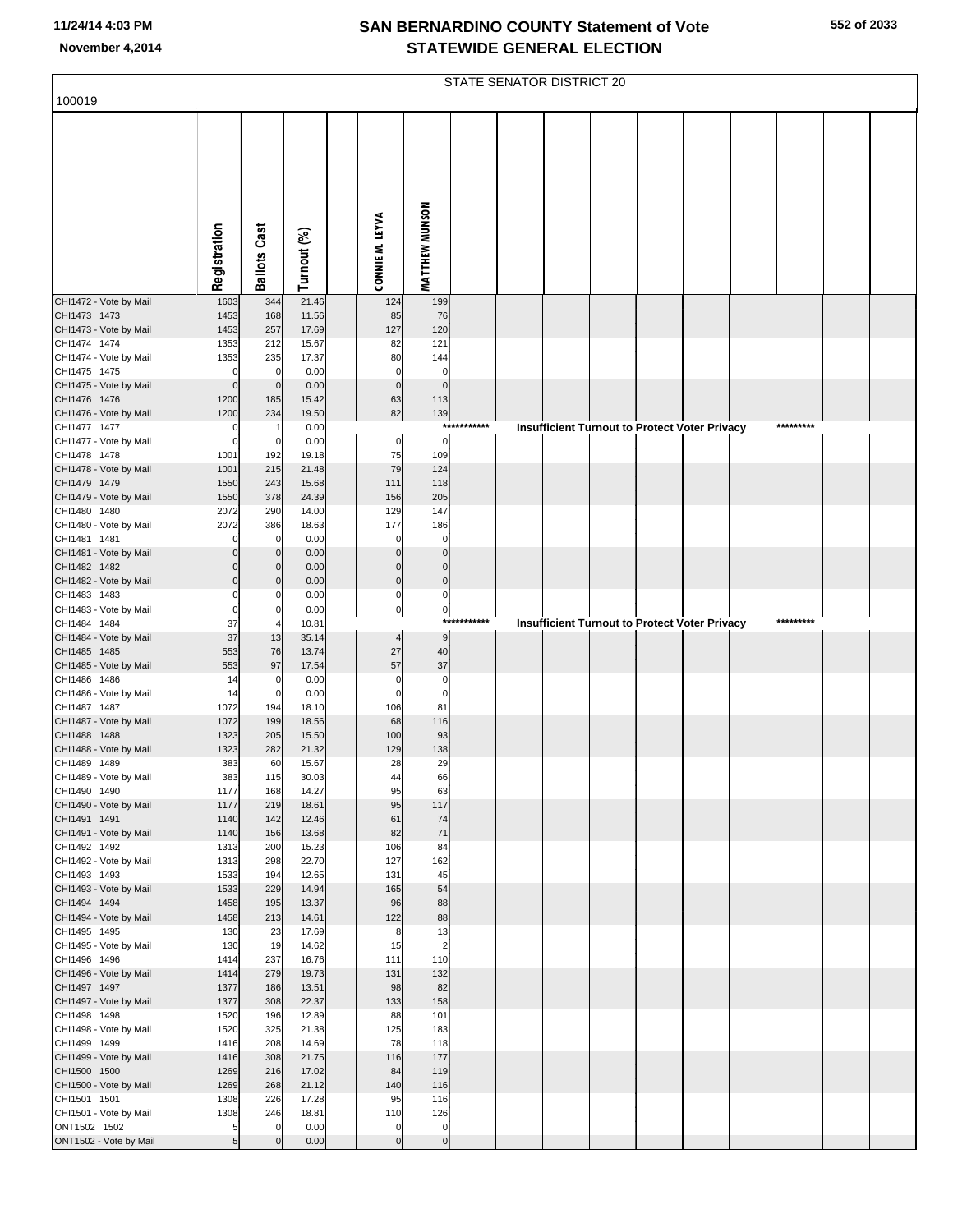|                                        | STATE SENATOR DISTRICT 20 |                            |                |  |                              |                            |             |  |  |  |                                                      |  |  |           |  |
|----------------------------------------|---------------------------|----------------------------|----------------|--|------------------------------|----------------------------|-------------|--|--|--|------------------------------------------------------|--|--|-----------|--|
| 100019                                 |                           |                            |                |  |                              |                            |             |  |  |  |                                                      |  |  |           |  |
|                                        | Registration              | <b>Ballots Cast</b>        | Turnout (%)    |  | CONNIE M. LEYVA              | <b>MATTHEW MUNSON</b>      |             |  |  |  |                                                      |  |  |           |  |
| CHI1472 - Vote by Mail                 | 1603                      | 344                        | 21.46          |  | 124                          | 199                        |             |  |  |  |                                                      |  |  |           |  |
| CHI1473 1473                           | 1453                      | 168                        | 11.56          |  | 85                           | 76                         |             |  |  |  |                                                      |  |  |           |  |
| CHI1473 - Vote by Mail                 | 1453                      | 257                        | 17.69          |  | 127                          | 120                        |             |  |  |  |                                                      |  |  |           |  |
| CHI1474 1474<br>CHI1474 - Vote by Mail | 1353<br>1353              | 212<br>235                 | 15.67<br>17.37 |  | 82<br>80                     | 121<br>144                 |             |  |  |  |                                                      |  |  |           |  |
| CHI1475 1475                           | $\Omega$                  | $\mathbf 0$                | 0.00           |  | $\mathbf 0$                  | $\mathbf 0$                |             |  |  |  |                                                      |  |  |           |  |
| CHI1475 - Vote by Mail                 | $\mathbf 0$               | $\overline{0}$             | 0.00           |  | $\mathbf{0}$                 | $\overline{0}$             |             |  |  |  |                                                      |  |  |           |  |
| CHI1476 1476                           | 1200                      | 185                        | 15.42          |  | 63                           | 113                        |             |  |  |  |                                                      |  |  |           |  |
| CHI1476 - Vote by Mail                 | 1200                      | 234                        | 19.50          |  | 82                           | 139                        | *********** |  |  |  |                                                      |  |  | ********* |  |
| CHI1477 1477<br>CHI1477 - Vote by Mail | C<br>$\mathcal{C}$        | $\overline{0}$             | 0.00<br>0.00   |  | 0                            | $\mathbf 0$                |             |  |  |  | Insufficient Turnout to Protect Voter Privacy        |  |  |           |  |
| CHI1478 1478                           | 1001                      | 192                        | 19.18          |  | 75                           | 109                        |             |  |  |  |                                                      |  |  |           |  |
| CHI1478 - Vote by Mail                 | 1001                      | 215                        | 21.48          |  | 79                           | 124                        |             |  |  |  |                                                      |  |  |           |  |
| CHI1479 1479                           | 1550                      | 243                        | 15.68          |  | 111                          | 118                        |             |  |  |  |                                                      |  |  |           |  |
| CHI1479 - Vote by Mail                 | 1550                      | 378                        | 24.39          |  | 156                          | 205                        |             |  |  |  |                                                      |  |  |           |  |
| CHI1480 1480<br>CHI1480 - Vote by Mail | 2072<br>2072              | 290<br>386                 | 14.00<br>18.63 |  | 129<br>177                   | 147<br>186                 |             |  |  |  |                                                      |  |  |           |  |
| CHI1481 1481                           |                           | $\mathbf 0$                | 0.00           |  | $\mathcal{C}$                | $\Omega$                   |             |  |  |  |                                                      |  |  |           |  |
| CHI1481 - Vote by Mail                 |                           | $\mathbf 0$                | 0.00           |  | C                            | $\Omega$                   |             |  |  |  |                                                      |  |  |           |  |
| CHI1482 1482                           |                           | $\overline{0}$             | 0.00           |  | $\sqrt{ }$                   | $\Omega$                   |             |  |  |  |                                                      |  |  |           |  |
| CHI1482 - Vote by Mail                 | $\Omega$                  | $\overline{0}$             | 0.00           |  | $\mathbf 0$                  | $\mathbf{0}$               |             |  |  |  |                                                      |  |  |           |  |
| CHI1483 1483<br>CHI1483 - Vote by Mail | $\epsilon$                | $\mathbf 0$<br>$\mathbf 0$ | 0.00<br>0.00   |  | $\Omega$<br>$\mathbf 0$      | $\Omega$<br>$\mathbf 0$    |             |  |  |  |                                                      |  |  |           |  |
| CHI1484 1484                           | 37                        |                            | 10.81          |  |                              |                            | *********** |  |  |  | <b>Insufficient Turnout to Protect Voter Privacy</b> |  |  | ********* |  |
| CHI1484 - Vote by Mail                 | 37                        | 13                         | 35.14          |  | 4                            | 9                          |             |  |  |  |                                                      |  |  |           |  |
| CHI1485 1485                           | 553                       | 76                         | 13.74          |  | 27                           | 40                         |             |  |  |  |                                                      |  |  |           |  |
| CHI1485 - Vote by Mail                 | 553                       | 97                         | 17.54          |  | 57                           | 37                         |             |  |  |  |                                                      |  |  |           |  |
| CHI1486 1486<br>CHI1486 - Vote by Mail | 14<br>14                  | 0<br>$\overline{0}$        | 0.00<br>0.00   |  | $\mathbf 0$<br>$\mathcal{C}$ | $\mathbf 0$<br>$\mathbf 0$ |             |  |  |  |                                                      |  |  |           |  |
| CHI1487 1487                           | 1072                      | 194                        | 18.10          |  | 106                          | 81                         |             |  |  |  |                                                      |  |  |           |  |
| CHI1487 - Vote by Mail                 | 1072                      | 199                        | 18.56          |  | 68                           | 116                        |             |  |  |  |                                                      |  |  |           |  |
| CHI1488 1488                           | 1323                      | 205                        | 15.50          |  | 100                          | 93                         |             |  |  |  |                                                      |  |  |           |  |
| CHI1488 - Vote by Mail<br>CHI1489 1489 | 1323<br>383               | 282<br>60                  | 21.32<br>15.67 |  | 129<br>28                    | 138<br>29                  |             |  |  |  |                                                      |  |  |           |  |
| CHI1489 - Vote by Mail                 | 383                       | 115                        | 30.03          |  | 44                           | 66                         |             |  |  |  |                                                      |  |  |           |  |
| CHI1490 1490                           | 1177                      | 168                        | 14.27          |  | 95                           | 63                         |             |  |  |  |                                                      |  |  |           |  |
| CHI1490 - Vote by Mail                 | 1177                      | 219                        | 18.61          |  | 95                           | 117                        |             |  |  |  |                                                      |  |  |           |  |
| CHI1491 1491                           | 1140                      | 142                        | 12.46          |  | 61                           | 74                         |             |  |  |  |                                                      |  |  |           |  |
| CHI1491 - Vote by Mail<br>CHI1492 1492 | 1140<br>1313              | 156<br>200                 | 13.68<br>15.23 |  | 82<br>106                    | 71<br>84                   |             |  |  |  |                                                      |  |  |           |  |
| CHI1492 - Vote by Mail                 | 1313                      | 298                        | 22.70          |  | 127                          | 162                        |             |  |  |  |                                                      |  |  |           |  |
| CHI1493 1493                           | 1533                      | 194                        | 12.65          |  | 131                          | 45                         |             |  |  |  |                                                      |  |  |           |  |
| CHI1493 - Vote by Mail                 | 1533                      | 229                        | 14.94          |  | 165                          | 54                         |             |  |  |  |                                                      |  |  |           |  |
| CHI1494 1494<br>CHI1494 - Vote by Mail | 1458<br>1458              | 195<br>213                 | 13.37<br>14.61 |  | 96<br>122                    | 88<br>88                   |             |  |  |  |                                                      |  |  |           |  |
| CHI1495 1495                           | 130                       | 23                         | 17.69          |  | 8                            | 13                         |             |  |  |  |                                                      |  |  |           |  |
| CHI1495 - Vote by Mail                 | 130                       | 19                         | 14.62          |  | 15                           | $\overline{2}$             |             |  |  |  |                                                      |  |  |           |  |
| CHI1496 1496                           | 1414                      | 237                        | 16.76          |  | 111                          | 110                        |             |  |  |  |                                                      |  |  |           |  |
| CHI1496 - Vote by Mail                 | 1414                      | 279                        | 19.73          |  | 131                          | 132                        |             |  |  |  |                                                      |  |  |           |  |
| CHI1497 1497<br>CHI1497 - Vote by Mail | 1377<br>1377              | 186<br>308                 | 13.51<br>22.37 |  | 98<br>133                    | 82<br>158                  |             |  |  |  |                                                      |  |  |           |  |
| CHI1498 1498                           | 1520                      | 196                        | 12.89          |  | 88                           | 101                        |             |  |  |  |                                                      |  |  |           |  |
| CHI1498 - Vote by Mail                 | 1520                      | 325                        | 21.38          |  | 125                          | 183                        |             |  |  |  |                                                      |  |  |           |  |
| CHI1499 1499                           | 1416                      | 208                        | 14.69          |  | 78                           | 118                        |             |  |  |  |                                                      |  |  |           |  |
| CHI1499 - Vote by Mail                 | 1416                      | 308                        | 21.75          |  | 116                          | 177                        |             |  |  |  |                                                      |  |  |           |  |
| CHI1500 1500                           | 1269<br>1269              | 216<br>268                 | 17.02<br>21.12 |  | 84<br>140                    | 119<br>116                 |             |  |  |  |                                                      |  |  |           |  |
| CHI1500 - Vote by Mail<br>CHI1501 1501 | 1308                      | 226                        | 17.28          |  | 95                           | 116                        |             |  |  |  |                                                      |  |  |           |  |
| CHI1501 - Vote by Mail                 | 1308                      | 246                        | 18.81          |  | 110                          | 126                        |             |  |  |  |                                                      |  |  |           |  |
| ONT1502 1502                           | 5                         | $\mathbf 0$                | 0.00           |  | $\mathbf 0$                  | $\mathbf 0$                |             |  |  |  |                                                      |  |  |           |  |
| ONT1502 - Vote by Mail                 | 5                         | $\Omega$                   | 0.00           |  | $\Omega$                     | $\pmb{0}$                  |             |  |  |  |                                                      |  |  |           |  |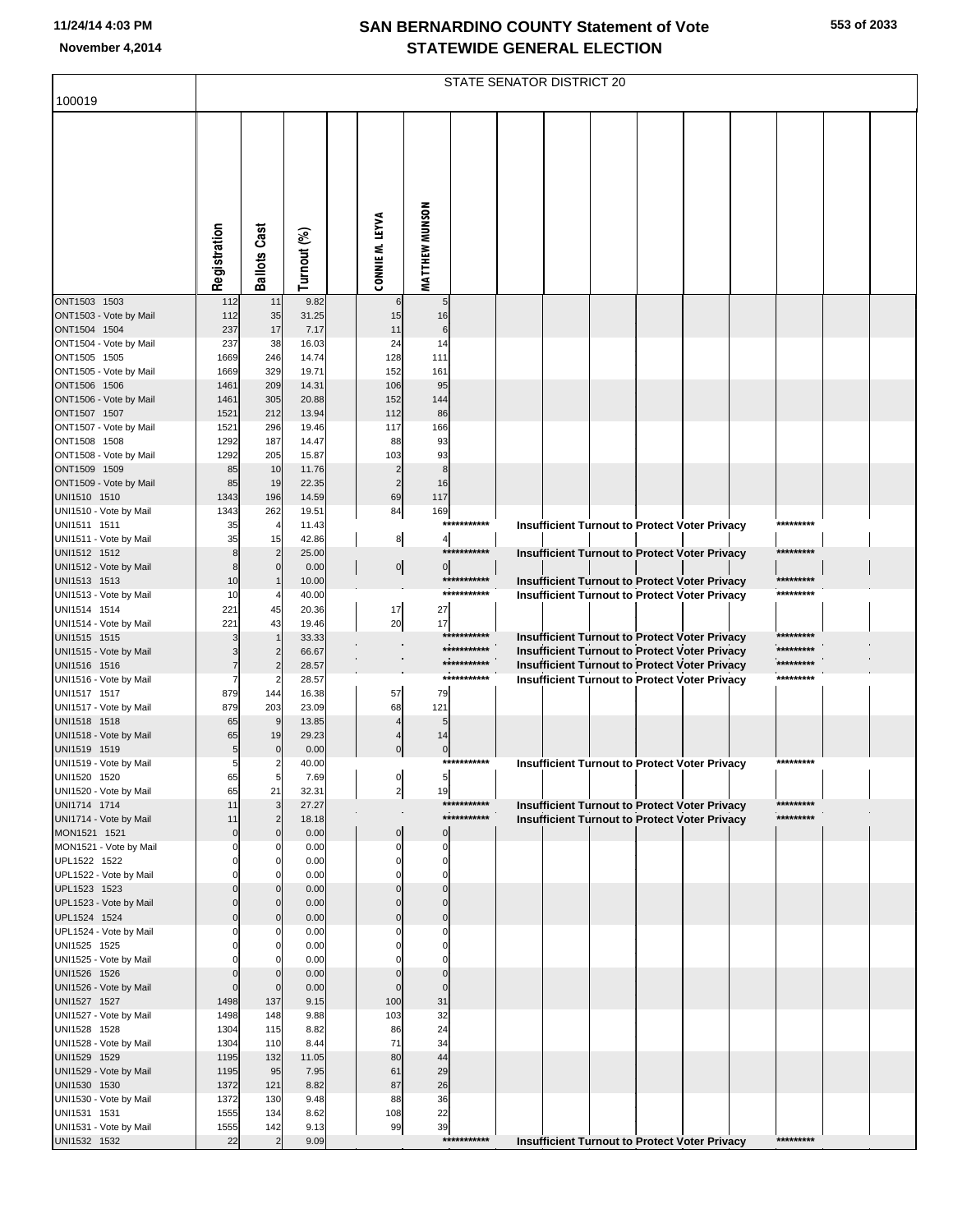| 100019                                 |                         |                                |                |                      |                         |                            | STATE SENATOR DISTRICT 20 |  |                                                                                                              |                        |  |
|----------------------------------------|-------------------------|--------------------------------|----------------|----------------------|-------------------------|----------------------------|---------------------------|--|--------------------------------------------------------------------------------------------------------------|------------------------|--|
|                                        | Registration            | <b>Ballots Cast</b>            | Turnout (%)    | CONNIE M. LEYVA      | <b>MATTHEW MUNSON</b>   |                            |                           |  |                                                                                                              |                        |  |
| ONT1503 1503<br>ONT1503 - Vote by Mail | 112<br>112              | 11<br>35                       | 9.82<br>31.25  | 6<br>15              | 5<br>16                 |                            |                           |  |                                                                                                              |                        |  |
| ONT1504 1504                           | 237                     | 17                             | 7.17           | 11                   | 6                       |                            |                           |  |                                                                                                              |                        |  |
| ONT1504 - Vote by Mail                 | 237                     | 38                             | 16.03          | 24                   | 14                      |                            |                           |  |                                                                                                              |                        |  |
| ONT1505 1505                           | 1669                    | 246                            | 14.74          | 128                  | 111                     |                            |                           |  |                                                                                                              |                        |  |
| ONT1505 - Vote by Mail                 | 1669                    | 329                            | 19.71          | 152                  | 161                     |                            |                           |  |                                                                                                              |                        |  |
| ONT1506 1506<br>ONT1506 - Vote by Mail | 1461<br>1461            | 209<br>305                     | 14.31<br>20.88 | 106<br>152           | 95<br>144               |                            |                           |  |                                                                                                              |                        |  |
| ONT1507 1507                           | 1521                    | 212                            | 13.94          | 112                  | 86                      |                            |                           |  |                                                                                                              |                        |  |
| ONT1507 - Vote by Mail                 | 1521                    | 296                            | 19.46          | 117                  | 166                     |                            |                           |  |                                                                                                              |                        |  |
| ONT1508 1508                           | 1292                    | 187                            | 14.47          | 88                   | 93                      |                            |                           |  |                                                                                                              |                        |  |
| ONT1508 - Vote by Mail                 | 1292                    | 205                            | 15.87          | 103                  | 93                      |                            |                           |  |                                                                                                              |                        |  |
| ONT1509 1509                           | 85                      | 10                             | 11.76          | $\overline{2}$       | 8                       |                            |                           |  |                                                                                                              |                        |  |
| ONT1509 - Vote by Mail<br>UNI1510 1510 | 85<br>1343              | 19<br>196                      | 22.35<br>14.59 | $\overline{2}$<br>69 | 16<br>117               |                            |                           |  |                                                                                                              |                        |  |
| UNI1510 - Vote by Mail                 | 1343                    | 262                            | 19.51          | 84                   | 169                     |                            |                           |  |                                                                                                              |                        |  |
| UNI1511 1511                           | 35                      | $\overline{4}$                 | 11.43          |                      |                         | ***********                |                           |  | <b>Insufficient Turnout to Protect Voter Privacy</b>                                                         | *********              |  |
| UNI1511 - Vote by Mail                 | 35                      | 15                             | 42.86          | 8                    | 4                       |                            |                           |  |                                                                                                              |                        |  |
| UNI1512 1512                           | 8                       | $\overline{2}$                 | 25.00          |                      |                         | ***********                |                           |  | <b>Insufficient Turnout to Protect Voter Privacy</b>                                                         | *********              |  |
| UNI1512 - Vote by Mail<br>UNI1513 1513 | 8<br>10                 | $\Omega$                       | 0.00<br>10.00  | $\overline{0}$       | 0                       | ***********                |                           |  | <b>Insufficient Turnout to Protect Voter Privacy</b>                                                         | *********              |  |
| UNI1513 - Vote by Mail                 | 10                      |                                | 40.00          |                      |                         | ***********                |                           |  | <b>Insufficient Turnout to Protect Voter Privacy</b>                                                         | *********              |  |
| UNI1514 1514                           | 221                     | 45                             | 20.36          | 17                   | 27                      |                            |                           |  |                                                                                                              |                        |  |
| UNI1514 - Vote by Mail                 | 221                     | 43                             | 19.46          | 20                   | 17                      |                            |                           |  |                                                                                                              |                        |  |
| UNI1515 1515                           |                         |                                | 33.33          |                      |                         | ***********                |                           |  | <b>Insufficient Turnout to Protect Voter Privacy</b>                                                         |                        |  |
| UNI1515 - Vote by Mail                 |                         | 2                              | 66.67          |                      |                         | ***********<br>*********** |                           |  | <b>Insufficient Turnout to Protect Voter Privacy</b>                                                         | *********<br>********* |  |
| UNI1516 1516<br>UNI1516 - Vote by Mail |                         | $\overline{2}$                 | 28.57<br>28.57 |                      |                         | ***********                |                           |  | <b>Insufficient Turnout to Protect Voter Privacy</b><br><b>Insufficient Turnout to Protect Voter Privacy</b> | *********              |  |
| UNI1517 1517                           | 879                     | 144                            | 16.38          | 57                   | 79                      |                            |                           |  |                                                                                                              |                        |  |
| UNI1517 - Vote by Mail                 | 879                     | 203                            | 23.09          | 68                   | 121                     |                            |                           |  |                                                                                                              |                        |  |
| UNI1518 1518                           | 65                      | 9                              | 13.85          |                      | 5                       |                            |                           |  |                                                                                                              |                        |  |
| UNI1518 - Vote by Mail<br>UNI1519 1519 | 65                      | 19                             | 29.23          |                      | 14                      |                            |                           |  |                                                                                                              |                        |  |
| UNI1519 - Vote by Mail                 | 5<br>5                  | $\mathbf 0$                    | 0.00<br>40.00  | $\mathbf 0$          | $\mathbf 0$             | ***********                |                           |  | <b>Insufficient Turnout to Protect Voter Privacy</b>                                                         | *********              |  |
| UNI1520 1520                           | 65                      |                                | 7.69           |                      |                         |                            |                           |  |                                                                                                              |                        |  |
| UNI1520 - Vote by Mail                 | 65                      | 21                             | 32.31          | $\overline{2}$       | 19                      |                            |                           |  |                                                                                                              |                        |  |
| UNI1714 1714                           | 11                      | 3                              | 27.27          |                      |                         | ***********                |                           |  | <b>Insufficient Turnout to Protect Voter Privacy</b>                                                         | *********              |  |
| UNI1714 - Vote by Mail                 | 11                      | $\overline{2}$<br>$\mathbf{0}$ | 18.18          |                      | $\mathbf 0$             | ***********                |                           |  | <b>Insufficient Turnout to Protect Voter Privacy</b>                                                         | *********              |  |
| MON1521 1521<br>MON1521 - Vote by Mail | $\mathbf 0$<br>0        | O                              | 0.00<br>0.00   | $\pmb{0}$            | 0                       |                            |                           |  |                                                                                                              |                        |  |
| UPL1522 1522                           | 0                       | 0                              | 0.00           | 0                    | $\mathbf 0$             |                            |                           |  |                                                                                                              |                        |  |
| UPL1522 - Vote by Mail                 |                         | O                              | 0.00           | O                    | $\Omega$                |                            |                           |  |                                                                                                              |                        |  |
| UPL1523 1523                           | $\mathbf 0$             | $\overline{0}$                 | 0.00           | $\mathbf 0$          | $\mathbf 0$             |                            |                           |  |                                                                                                              |                        |  |
| UPL1523 - Vote by Mail                 | $\mathbf 0$<br>$\Omega$ | $\Omega$<br>$\overline{0}$     | 0.00<br>0.00   | $\Omega$<br>$\Omega$ | $\Omega$<br>$\mathbf 0$ |                            |                           |  |                                                                                                              |                        |  |
| UPL1524 1524<br>UPL1524 - Vote by Mail |                         |                                | 0.00           |                      | $\Omega$                |                            |                           |  |                                                                                                              |                        |  |
| UNI1525 1525                           |                         | $\mathbf{0}$                   | 0.00           |                      | $\Omega$                |                            |                           |  |                                                                                                              |                        |  |
| UNI1525 - Vote by Mail                 |                         | O                              | 0.00           |                      | $\Omega$                |                            |                           |  |                                                                                                              |                        |  |
| UNI1526 1526                           | $\mathbf 0$             | $\overline{0}$                 | 0.00           | 0                    | $\mathbf 0$             |                            |                           |  |                                                                                                              |                        |  |
| UNI1526 - Vote by Mail                 | $\mathbf 0$             | $\mathbf 0$                    | 0.00           | $\Omega$             | $\overline{0}$          |                            |                           |  |                                                                                                              |                        |  |
| UNI1527 1527<br>UNI1527 - Vote by Mail | 1498<br>1498            | 137<br>148                     | 9.15<br>9.88   | 100<br>103           | 31<br>32                |                            |                           |  |                                                                                                              |                        |  |
| UNI1528 1528                           | 1304                    | 115                            | 8.82           | 86                   | 24                      |                            |                           |  |                                                                                                              |                        |  |
| UNI1528 - Vote by Mail                 | 1304                    | 110                            | 8.44           | 71                   | 34                      |                            |                           |  |                                                                                                              |                        |  |
| UNI1529 1529                           | 1195                    | 132                            | 11.05          | 80                   | 44                      |                            |                           |  |                                                                                                              |                        |  |
| UNI1529 - Vote by Mail                 | 1195                    | 95                             | 7.95           | 61                   | 29                      |                            |                           |  |                                                                                                              |                        |  |
| UNI1530 1530<br>UNI1530 - Vote by Mail | 1372<br>1372            | 121<br>130                     | 8.82<br>9.48   | 87<br>88             | 26<br>36                |                            |                           |  |                                                                                                              |                        |  |
| UNI1531 1531                           | 1555                    | 134                            | 8.62           | 108                  | 22                      |                            |                           |  |                                                                                                              |                        |  |
| UNI1531 - Vote by Mail                 | 1555                    | 142                            | 9.13           | 99                   | 39                      |                            |                           |  |                                                                                                              |                        |  |
| UNI1532 1532                           | 22                      |                                | 9.09           |                      |                         | ***********                |                           |  | <b>Insufficient Turnout to Protect Voter Privacy</b>                                                         | *********              |  |